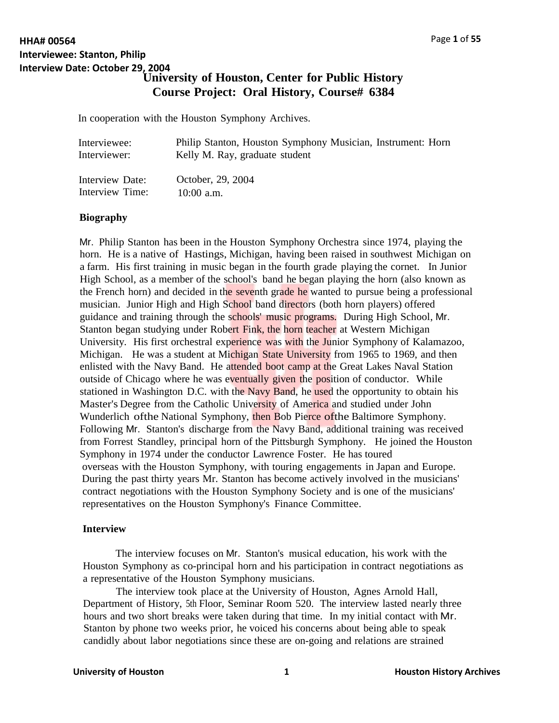# **Interview Date: October 29, 2004 University of Houston, Center for Public History Course Project: Oral History, Course# 6384**

In cooperation with the Houston Symphony Archives.

| Interviewee:    | Philip Stanton, Houston Symphony Musician, Instrument: Horn |
|-----------------|-------------------------------------------------------------|
| Interviewer:    | Kelly M. Ray, graduate student                              |
| Interview Date: | October, 29, 2004                                           |
| Interview Time: | $10:00$ a.m.                                                |

### **Biography**

Mr. Philip Stanton has been in the Houston Symphony Orchestra since 1974, playing the horn. He is a native of Hastings, Michigan, having been raised in southwest Michigan on a farm. His first training in music began in the fourth grade playing the cornet. In Junior High School, as a member of the school's band he began playing the horn (also known as the French horn) and decided in the seventh grade he wanted to pursue being a professional musician. Junior High and High School band directors (both horn players) offered guidance and training through the schools' music programs. During High School, Mr. Stanton began studying under Robert Fink, the horn teacher at Western Michigan University. His first orchestral experience was with the Junior Symphony of Kalamazoo, Michigan. He was a student at Michigan State University from 1965 to 1969, and then enlisted with the Navy Band. He attended boot camp at the Great Lakes Naval Station outside of Chicago where he was eventually given the position of conductor. While stationed in Washington D.C. with the Navy Band, he used the opportunity to obtain his Master's Degree from the Catholic University of America and studied under John Wunderlich of the National Symphony, then Bob Pierce of the Baltimore Symphony. Following Mr. Stanton's discharge from the Navy Band, additional training was received from Forrest Standley, principal horn of the Pittsburgh Symphony. He joined the Houston Symphony in 1974 under the conductor Lawrence Foster. He has toured overseas with the Houston Symphony, with touring engagements in Japan and Europe. During the past thirty years Mr. Stanton has become actively involved in the musicians' contract negotiations with the Houston Symphony Society and is one of the musicians' representatives on the Houston Symphony's Finance Committee.

### **Interview**

The interview focuses on Mr. Stanton's musical education, his work with the Houston Symphony as co-principal horn and his participation in contract negotiations as a representative of the Houston Symphony musicians.

The interview took place at the University of Houston, Agnes Arnold Hall, Department of History, 5th Floor, Seminar Room 520. The interview lasted nearly three hours and two short breaks were taken during that time. In my initial contact with Mr. Stanton by phone two weeks prior, he voiced his concerns about being able to speak candidly about labor negotiations since these are on-going and relations are strained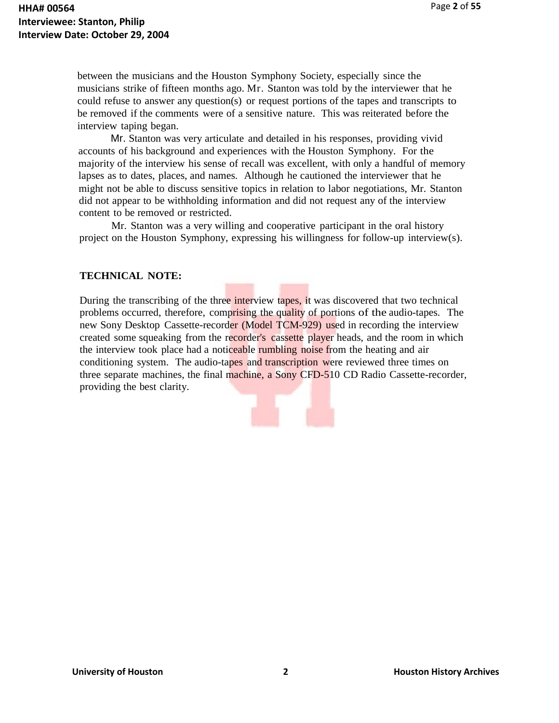between the musicians and the Houston Symphony Society, especially since the musicians strike of fifteen months ago. Mr. Stanton was told by the interviewer that he could refuse to answer any question(s) or request portions of the tapes and transcripts to be removed if the comments were of a sensitive nature. This was reiterated before the interview taping began.

Mr. Stanton was very articulate and detailed in his responses, providing vivid accounts of his background and experiences with the Houston Symphony. For the majority of the interview his sense of recall was excellent, with only a handful of memory lapses as to dates, places, and names. Although he cautioned the interviewer that he might not be able to discuss sensitive topics in relation to labor negotiations, Mr. Stanton did not appear to be withholding information and did not request any of the interview content to be removed or restricted.

Mr. Stanton was a very willing and cooperative participant in the oral history project on the Houston Symphony, expressing his willingness for follow-up interview(s).

### **TECHNICAL NOTE:**

During the transcribing of the three interview tapes, it was discovered that two technical problems occurred, therefore, comprising the quality of portions of the audio-tapes. The new Sony Desktop Cassette-recorder (Model TCM-929) used in recording the interview created some squeaking from the recorder's cassette player heads, and the room in which the interview took place had a noticeable rumbling noise from the heating and air conditioning system. The audio-tapes and transcription were reviewed three times on three separate machines, the final machine, a Sony CFD-510 CD Radio Cassette-recorder, providing the best clarity.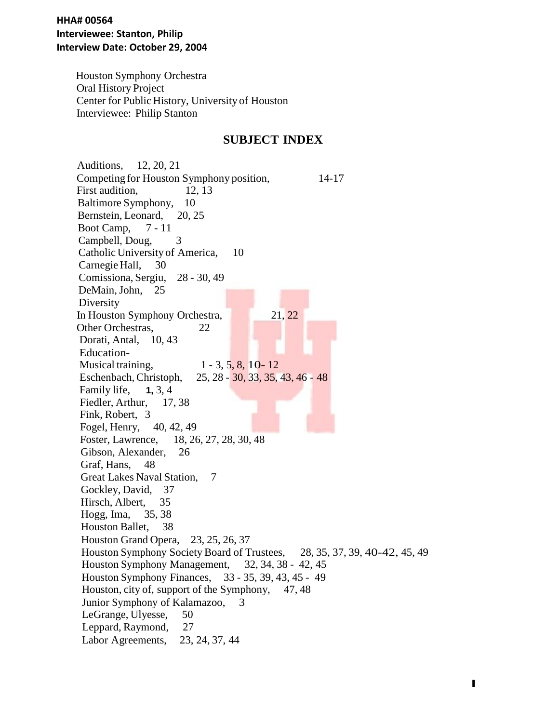Houston Symphony Orchestra Oral History Project Center for Public History, University of Houston Interviewee: Philip Stanton

# **SUBJECT INDEX**

Auditions, 12, 20, 21 Competing for Houston Symphony position, 14-17 First audition, 12, 13 Baltimore Symphony, 10 Bernstein, Leonard, 20, 25 Boot Camp, 7 - 11 Campbell, Doug, 3 Catholic University of America, 10 Carnegie Hall, 30 Comissiona, Sergiu, 28 - 30, 49 DeMain, John, 25 Diversity In Houston Symphony Orchestra, 21, 22 Other Orchestras, 22 Dorati, Antal, 10, 43 Education- Musical training, 1 - 3, 5, 8, 10 - 12 Eschenbach, Christoph, 25, 28 - 30, 33, 35, 43, 46 - 48 Family life, **1,** 3, 4 Fiedler, Arthur, 17, 38 Fink, Robert, 3 Fogel, Henry, 40, 42, 49 Foster, Lawrence, 18, 26, 27, 28, 30, 48 Gibson, Alexander, 26 Graf, Hans, 48 Great Lakes Naval Station, 7 Gockley, David, 37 Hirsch, Albert, 35 Hogg, Ima, 35, 38 Houston Ballet, 38 Houston Grand Opera, 23, 25, 26, 37 Houston Symphony Society Board of Trustees, 28, 35, 37, 39, 40-42, 45, 49 Houston Symphony Management, 32, 34, 38 - 42, 45 Houston Symphony Finances, 33 - 35, 39, 43, 45 - 49 Houston, city of, support of the Symphony, 47, 48 Junior Symphony of Kalamazoo, 3 LeGrange, Ulyesse, 50 Leppard, Raymond, 27 Labor Agreements, 23, 24, 37, 44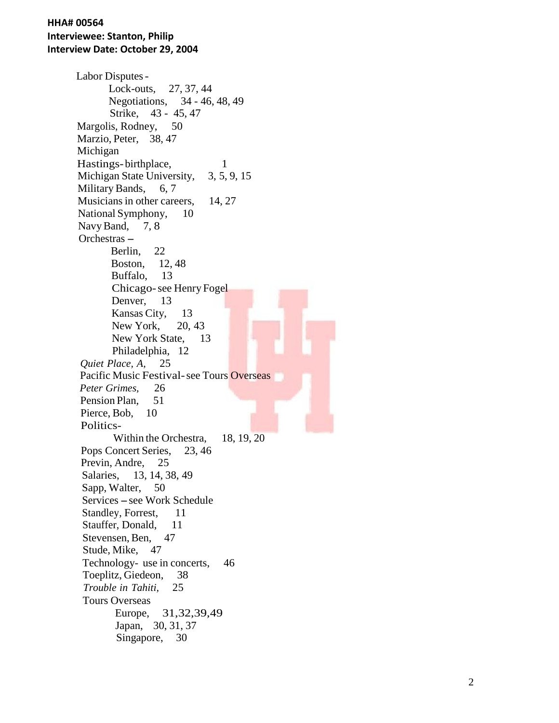Labor Disputes - Lock-outs, 27, 37, 44 Negotiations, 34 - 46, 48, 49 Strike, 43 - 45, 47 Margolis, Rodney, 50 Marzio, Peter, 38, 47 Michigan Hastings -birthplace, 1 Michigan State University, 3, 5, 9, 15 Military Bands, 6, 7 Musicians in other careers, 14, 27 National Symphony, 10 Navy Band, 7, 8 Navy Band,<br>Orchestras – Berlin, 22 Boston, 12, 48 Buffalo, 13 Chicago-see Henry Fogel Denver, 13 Kansas City, 13 New York, 20, 43 New York State, 13 Philadelphia, 12 *Quiet Place, A,* 25 Pacific Music Festival-see Tours Overseas *Peter Grimes,* 26 Pension Plan, 51 Pierce, Bob, 10 Politics - Within the Orchestra, 18, 19, 20 Pops Concert Series, 23, 46 Previn, Andre, 25 Salaries, 13, 14, 38, 49 Sapp, Walter, 50 Services -see Work Schedule Standley, Forrest, 11 Stauffer, Donald, 11 Stevensen, Ben, 47 Stude, Mike, 47 Technology - use in concerts, 46 Toeplitz, Giedeon, 38 *Trouble in Tahiti,* 25 Tours Overseas Europe, 31,32,39,49 Japan, 30, 31, 37 Singapore, 30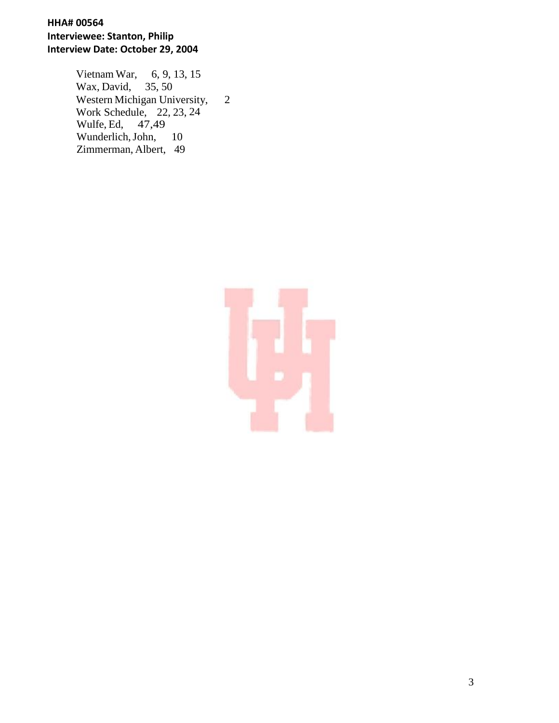> Vietnam War, 6, 9, 13, 15<br>Wax, David, 35, 50 Wax, David, Western Michigan University, 2 Work Schedule, 22, 23, 24 Wulfe, Ed, 47,49<br>Wunderlich, John, 10 Wunderlich, John, Zimmerman, Albert, 49

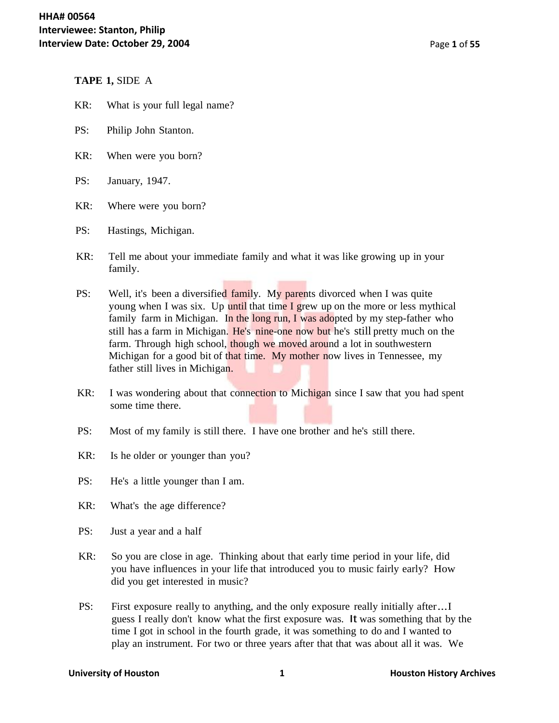**TAPE 1,** SIDE A

- KR: What is your full legal name?
- PS: Philip John Stanton.
- KR: When were you born?
- PS: January, 1947.
- KR: Where were you born?
- PS: Hastings, Michigan.
- KR: Tell me about your immediate family and what it was like growing up in your family.
- PS: Well, it's been a diversified family. My parents divorced when I was quite young when I was six. Up until that time I grew up on the more or less mythical family farm in Michigan. In the long run, I was adopted by my step-father who still has a farm in Michigan. He's nine-one now but he's still pretty much on the farm. Through high school, though we moved around a lot in southwestern Michigan for a good bit of that time. My mother now lives in Tennessee, my father still lives in Michigan.
- KR: I was wondering about that connection to Michigan since I saw that you had spent some time there.
- PS: Most of my family is still there. I have one brother and he's still there.
- KR: Is he older or younger than you?
- PS: He's a little younger than I am.
- KR: What's the age difference?
- PS: Just a year and a half
- KR: So you are close in age. Thinking about that early time period in your life, did you have influences in your life that introduced you to music fairly early? How did you get interested in music?
- PS: First exposure really to anything, and the only exposure really initially after...I guess I really don't know what the first exposure was. It was something that by the time I got in school in the fourth grade, it was something to do and I wanted to play an instrument. For two or three years after that that was about all it was. We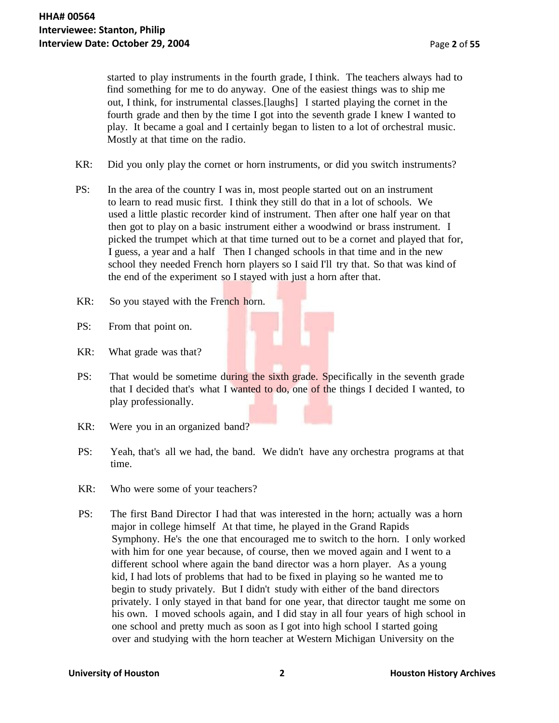started to play instruments in the fourth grade, I think. The teachers always had to find something for me to do anyway. One of the easiest things was to ship me out, I think, for instrumental classes.[laughs] I started playing the cornet in the fourth grade and then by the time I got into the seventh grade I knew I wanted to play. It became a goal and I certainly began to listen to a lot of orchestral music. Mostly at that time on the radio.

- KR: Did you only play the cornet or horn instruments, or did you switch instruments?
- PS: In the area of the country I was in, most people started out on an instrument to learn to read music first. I think they still do that in a lot of schools. We used a little plastic recorder kind of instrument. Then after one half year on that then got to play on a basic instrument either a woodwind or brass instrument. I picked the trumpet which at that time turned out to be a cornet and played that for, I guess, a year and a half Then I changed schools in that time and in the new school they needed French horn players so I said I'll try that. So that was kind of the end of the experiment so I stayed with just a horn after that.
- KR: So you stayed with the French horn.
- PS: From that point on.
- KR: What grade was that?
- PS: That would be sometime during the sixth grade. Specifically in the seventh grade that I decided that's what I wanted to do, one of the things I decided I wanted, to play professionally.
- KR: Were you in an organized band?
- PS: Yeah, that's all we had, the band. We didn't have any orchestra programs at that time.
- KR: Who were some of your teachers?
- PS: The first Band Director I had that was interested in the horn; actually was a horn major in college himself At that time, he played in the Grand Rapids Symphony. He's the one that encouraged me to switch to the horn. I only worked with him for one year because, of course, then we moved again and I went to a different school where again the band director was a horn player. As a young kid, I had lots of problems that had to be fixed in playing so he wanted me to begin to study privately. But I didn't study with either of the band directors privately. I only stayed in that band for one year, that director taught me some on his own. I moved schools again, and I did stay in all four years of high school in one school and pretty much as soon as I got into high school I started going over and studying with the horn teacher at Western Michigan University on the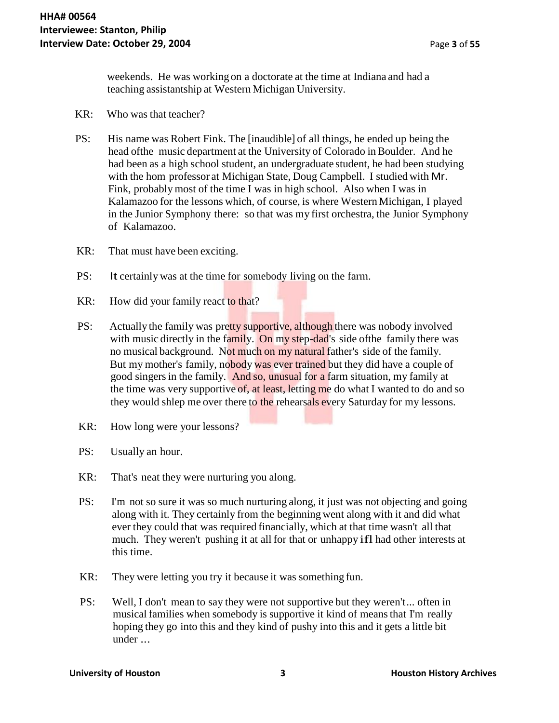weekends. He was working on a doctorate at the time at Indiana and had a teaching assistantship at Western Michigan University.

- KR: Who was that teacher?
- PS: His name was Robert Fink. The [inaudible] of all things, he ended up being the head of the music department at the University of Colorado in Boulder. And he had been as a high school student, an undergraduate student, he had been studying with the hom professor at Michigan State, Doug Campbell. I studied with Mr. Fink, probably most of the time I was in high school. Also when I was in Kalamazoo for the lessons which, of course, is where Western Michigan, I played in the Junior Symphony there: so that was my first orchestra, the Junior Symphony of Kalamazoo.
- KR: That must have been exciting.
- PS: It certainly was at the time for somebody living on the farm.
- KR: How did your family react to that?
- PS: Actually the family was pretty supportive, although there was nobody involved with music directly in the family. On my step-dad's side of the family there was no musical background. Not much on my natural father's side of the family. But my mother's family, nobody was ever trained but they did have a couple of good singers in the family. And so, unusual for a farm situation, my family at the time was very supportive of, at least, letting me do what I wanted to do and so they would shlep me over there to the rehearsals every Saturday for my lessons.
- KR: How long were your lessons?
- PS: Usually an hour.
- KR: That's neat they were nurturing you along.
- PS: I'm not so sure it was so much nurturing along, it just was not objecting and going along with it. They certainly from the beginning went along with it and did what ever they could that was required financially, which at that time wasn't all that much. They weren't pushing it at all for that or unhappy ifl had other interests at this time.
- KR: They were letting you try it because it was something fun.
- PS: Well, I don't mean to say they were not supportive but they weren't... often in musical families when somebody is supportive it kind of meansthat I'm really hoping they go into this and they kind of pushy into this and it gets a little bit under ...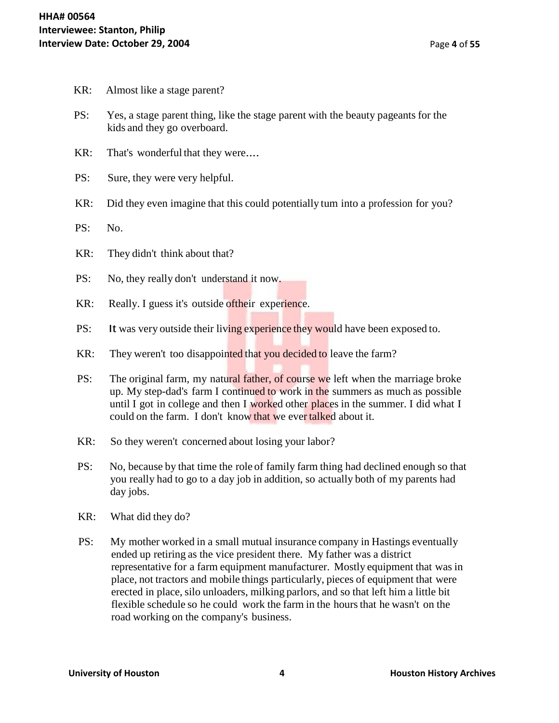- KR: Almost like a stage parent?
- PS: Yes, a stage parent thing, like the stage parent with the beauty pageants for the kids and they go overboard.
- KR: That's wonderful that they were....
- PS: Sure, they were very helpful.
- KR: Did they even imagine that this could potentially tum into a profession for you?
- PS: No.
- KR: They didn't think about that?
- PS: No, they really don't understand it now.
- KR: Really. I guess it's outside of their experience.
- PS: It was very outside their living experience they would have been exposed to.
- KR: They weren't too disappointed that you decided to leave the farm?
- PS: The original farm, my natural father, of course we left when the marriage broke up. My step-dad's farm I continued to work in the summers as much as possible until I got in college and then I worked other places in the summer. I did what I could on the farm. I don't know that we ever talked about it.
- KR: So they weren't concerned about losing your labor?
- PS: No, because by that time the role of family farm thing had declined enough so that you really had to go to a day job in addition, so actually both of my parents had day jobs.
- KR: What did they do?
- PS: My mother worked in a small mutual insurance company in Hastings eventually ended up retiring as the vice president there. My father was a district representative for a farm equipment manufacturer. Mostly equipment that was in place, not tractors and mobile things particularly, pieces of equipment that were erected in place, silo unloaders, milking parlors, and so that left him a little bit flexible schedule so he could work the farm in the hours that he wasn't on the road working on the company's business.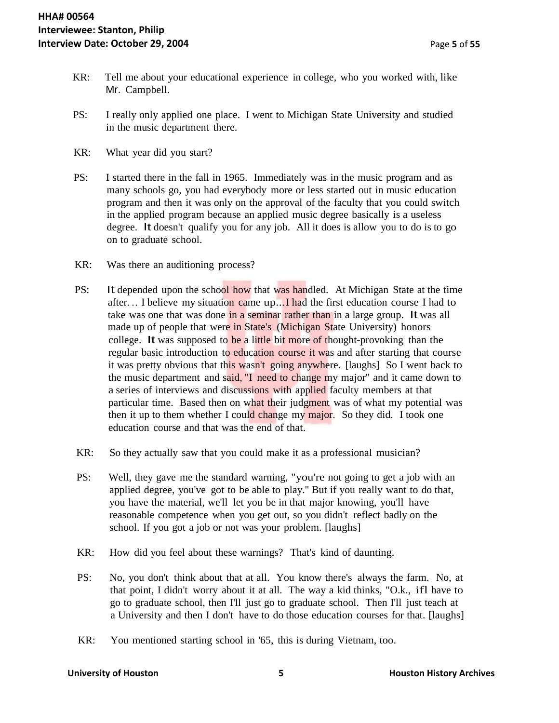- KR: Tell me about your educational experience in college, who you worked with, like Mr. Campbell.
- PS: I really only applied one place. I went to Michigan State University and studied in the music department there.
- KR: What year did you start?
- PS: I started there in the fall in 1965. Immediately was in the music program and as many schools go, you had everybody more or less started out in music education program and then it was only on the approval of the faculty that you could switch in the applied program because an applied music degree basically is a useless degree. It doesn't qualify you for any job. All it does is allow you to do is to go on to graduate school.
- KR: Was there an auditioning process?
- PS: It depended upon the school how that was handled. At Michigan State at the time after... I believe my situation came up... I had the first education course I had to take was one that was done in a seminar rather than in a large group. It was all made up of people that were in State's (Michigan State University) honors college. It was supposed to be a little bit more of thought-provoking than the regular basic introduction to education course it was and after starting that course it was pretty obvious that this wasn't going anywhere. [laughs] So I went back to the music department and said, "I need to change my major" and it came down to a series of interviews and discussions with applied faculty members at that particular time. Based then on what their judgment was of what my potential was then it up to them whether I could change my major. So they did. I took one education course and that was the end of that.
- KR: So they actually saw that you could make it as a professional musician?
- PS: Well, they gave me the standard warning, "you're not going to get a job with an applied degree, you've got to be able to play." But if you really want to do that, you have the material, we'll let you be in that major knowing, you'll have reasonable competence when you get out, so you didn't reflect badly on the school. If you got a job or not was your problem. [laughs]
- KR: How did you feel about these warnings? That's kind of daunting.
- PS: No, you don't think about that at all. You know there's always the farm. No, at that point, I didn't worry about it at all. The way a kid thinks, "O.k., ifl have to go to graduate school, then I'll just go to graduate school. Then I'll just teach at a University and then I don't have to do those education courses for that. [laughs]
- KR: You mentioned starting school in '65, this is during Vietnam, too.

### **University of Houston 1988 5 Houston History Archives**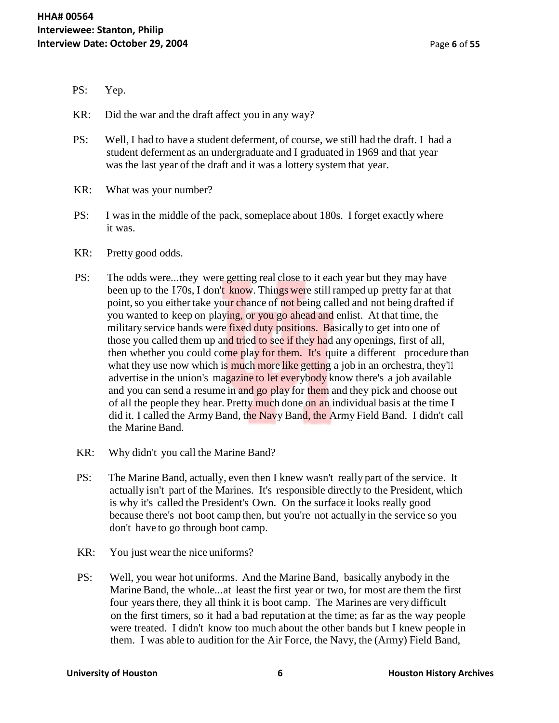- PS: Yep.
- KR: Did the war and the draft affect you in any way?
- PS: Well, I had to have a student deferment, of course, we still had the draft. I had a student deferment as an undergraduate and I graduated in 1969 and that year was the last year of the draft and it was a lottery system that year.
- KR: What was your number?
- PS: I wasin the middle of the pack, someplace about 180s. I forget exactly where it was.
- KR: Pretty good odds.
- PS: The odds were...they were getting real close to it each year but they may have been up to the I70s, I don't know. Things were still ramped up pretty far at that point, so you either take your chance of not being called and not being drafted if you wanted to keep on playing, or you go ahead and enlist. At that time, the military service bands were fixed duty positions. Basically to get into one of those you called them up and tried to see if they had any openings, first of all, then whether you could come play for them. It's quite a different procedure than what they use now which is much more like getting a job in an orchestra, they'll advertise in the union's magazine to let everybody know there's a job available and you can send a resume in and go play for them and they pick and choose out of all the people they hear. Pretty much done on an individual basis at the time I did it. I called the Army Band, the Navy Band, the Army Field Band. I didn't call the Marine Band.
- KR: Why didn't you call the Marine Band?
- PS: The Marine Band, actually, even then I knew wasn't really part of the service. It actually isn't part of the Marines. It's responsible directly to the President, which is why it's called the President's Own. On the surface it looks really good because there's not boot camp then, but you're not actually in the service so you don't have to go through boot camp.
- KR: You just wear the nice uniforms?
- PS: Well, you wear hot uniforms. And the Marine Band, basically anybody in the Marine Band, the whole...at least the first year or two, for most are them the first four yearsthere, they all think it is boot camp. The Marines are very difficult on the first timers, so it had a bad reputation at the time; as far as the way people were treated. I didn't know too much about the other bands but I knew people in them. I was able to audition for the Air Force, the Navy, the (Army) Field Band,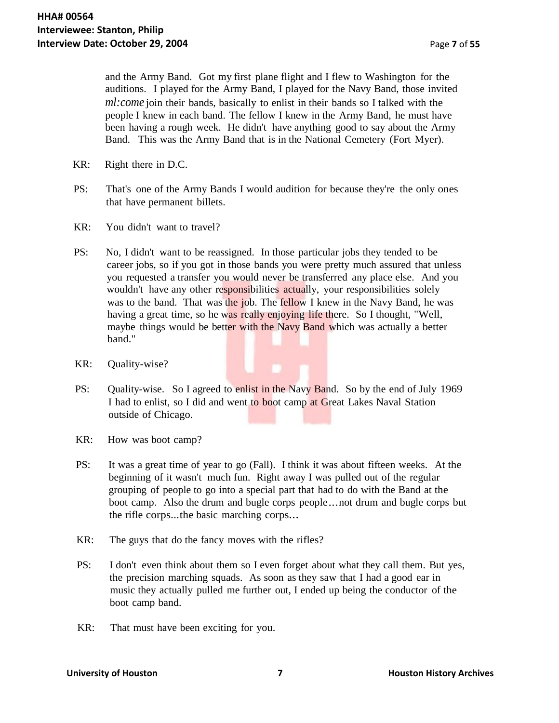and the Army Band. Got my first plane flight and I flew to Washington for the auditions. I played for the Army Band, I played for the Navy Band, those invited *ml:come* join their bands, basically to enlist in their bands so I talked with the people I knew in each band. The fellow I knew in the Army Band, he must have been having a rough week. He didn't have anything good to say about the Army Band. This was the Army Band that is in the National Cemetery (Fort Myer).

- KR: Right there in D.C.
- PS: That's one of the Army Bands I would audition for because they're the only ones that have permanent billets.
- KR: You didn't want to travel?
- PS: No, I didn't want to be reassigned. In those particular jobs they tended to be career jobs, so if you got in those bands you were pretty much assured that unless you requested a transfer you would never be transferred any place else. And you wouldn't have any other responsibilities actually, your responsibilities solely was to the band. That was the job. The fellow I knew in the Navy Band, he was having a great time, so he was really enjoying life there. So I thought, "Well, maybe things would be better with the Navy Band which was actually a better band."
- KR: Quality-wise?
- PS: Quality-wise. So I agreed to enlist in the Navy Band. So by the end of July 1969 I had to enlist, so I did and went to boot camp at Great Lakes Naval Station outside of Chicago.
- KR: How was boot camp?
- PS: It was a great time of year to go (Fall). I think it was about fifteen weeks. At the beginning of it wasn't much fun. Right away I was pulled out of the regular grouping of people to go into a special part that had to do with the Band at the boot camp. Also the drum and bugle corps people...not drum and bugle corps but the rifle corps...the basic marching corps...
- KR: The guys that do the fancy moves with the rifles?
- PS: I don't even think about them so I even forget about what they call them. But yes, the precision marching squads. As soon as they saw that I had a good ear in music they actually pulled me further out, I ended up being the conductor of the boot camp band.
- KR: That must have been exciting for you.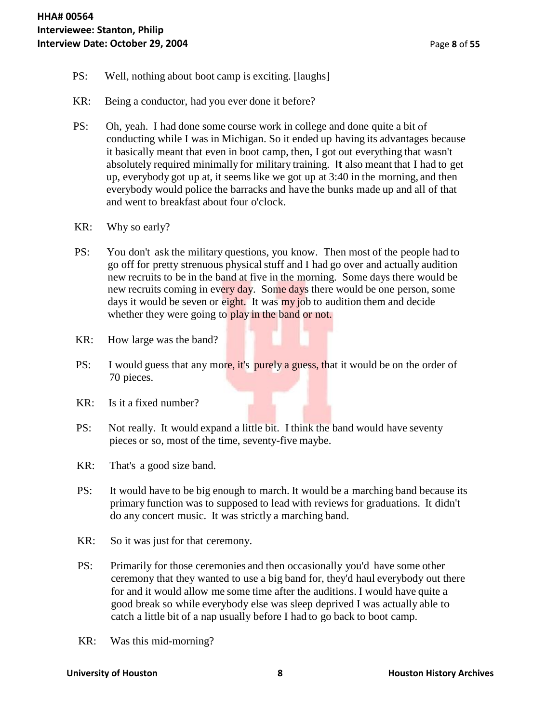- PS: Well, nothing about boot camp is exciting. [laughs]
- KR: Being a conductor, had you ever done it before?
- PS: Oh, yeah. I had done some course work in college and done quite a bit of conducting while I was in Michigan. So it ended up having its advantages because it basically meant that even in boot camp, then, I got out everything that wasn't absolutely required minimally for military training. It also meant that I had to get up, everybody got up at, it seems like we got up at 3:40 in the morning, and then everybody would police the barracks and have the bunks made up and all of that and went to breakfast about four o'clock.
- KR: Why so early?
- PS: You don't ask the military questions, you know. Then most of the people had to go off for pretty strenuous physicalstuff and I had go over and actually audition new recruits to be in the band at five in the morning. Some days there would be new recruits coming in every day. Some days there would be one person, some days it would be seven or eight. It was my job to audition them and decide whether they were going to play in the band or not.
- KR: How large was the band?
- PS: I would guess that any more, it's purely a guess, that it would be on the order of 70 pieces.
- KR: Is it a fixed number?
- PS: Not really. It would expand a little bit. I think the band would have seventy pieces or so, most of the time, seventy-five maybe.
- KR: That's a good size band.
- PS: It would have to be big enough to march. It would be a marching band because its primary function was to supposed to lead with reviews for graduations. It didn't do any concert music. It was strictly a marching band.
- KR: So it was just for that ceremony.
- PS: Primarily for those ceremonies and then occasionally you'd have some other ceremony that they wanted to use a big band for, they'd haul everybody out there for and it would allow me some time after the auditions. I would have quite a good break so while everybody else was sleep deprived I was actually able to catch a little bit of a nap usually before I had to go back to boot camp.
- KR: Was this mid-morning?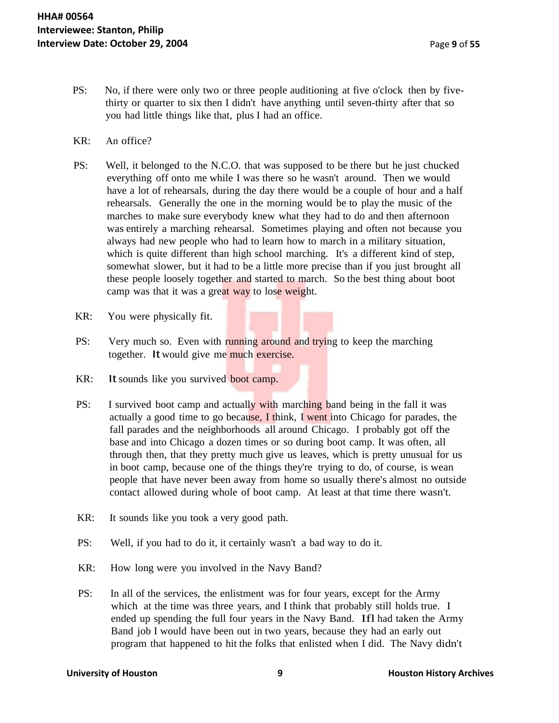- PS: No, if there were only two or three people auditioning at five o'clock then by fivethirty or quarter to six then I didn't have anything until seven-thirty after that so you had little things like that, plus I had an office.
- KR: An office?
- PS: Well, it belonged to the N.C.O. that was supposed to be there but he just chucked everything off onto me while I was there so he wasn't around. Then we would have a lot of rehearsals, during the day there would be a couple of hour and a half rehearsals. Generally the one in the morning would be to play the music of the marches to make sure everybody knew what they had to do and then afternoon was entirely a marching rehearsal. Sometimes playing and often not because you always had new people who had to learn how to march in a military situation, which is quite different than high school marching. It's a different kind of step, somewhat slower, but it had to be a little more precise than if you just brought all these people loosely together and started to march. So the best thing about boot camp was that it was a great way to lose weight.
- KR: You were physically fit.
- PS: Very much so. Even with running around and trying to keep the marching together. It would give me much exercise.
- KR: It sounds like you survived boot camp.
- PS: I survived boot camp and actually with marching band being in the fall it was actually a good time to go because, I think, I went into Chicago for parades, the fall parades and the neighborhoods all around Chicago. I probably got off the base and into Chicago a dozen times or so during boot camp. It was often, all through then, that they pretty much give us leaves, which is pretty unusual for us in boot camp, because one of the things they're trying to do, of course, is wean people that have never been away from home so usually there's almost no outside contact allowed during whole of boot camp. At least at that time there wasn't.
- KR: It sounds like you took a very good path.
- PS: Well, if you had to do it, it certainly wasn't a bad way to do it.
- KR: How long were you involved in the Navy Band?
- PS: In all of the services, the enlistment was for four years, except for the Army which at the time was three years, and I think that probably still holds true. I ended up spending the full four years in the Navy Band. Ifl had taken the Army Band job I would have been out in two years, because they had an early out program that happened to hit the folks that enlisted when I did. The Navy didn't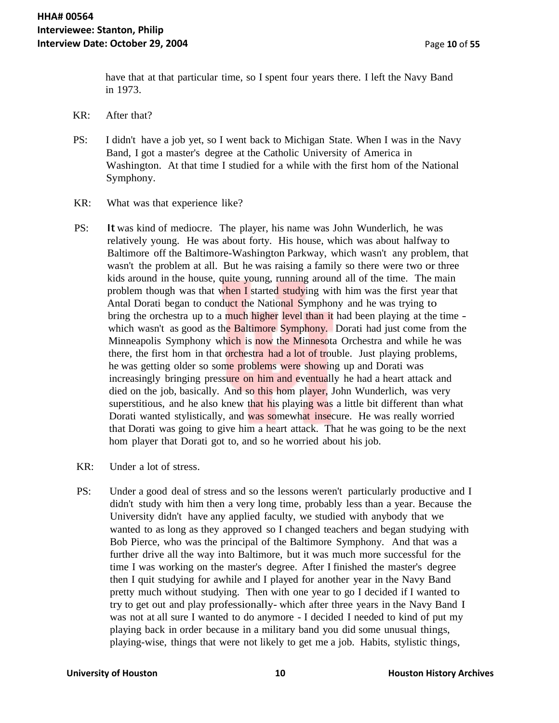have that at that particular time, so I spent four years there. I left the Navy Band in 1973.

- KR: After that?
- PS: I didn't have a job yet, so I went back to Michigan State. When I was in the Navy Band, I got a master's degree at the Catholic University of America in Washington. At that time I studied for a while with the first hom of the National Symphony.
- KR: What was that experience like?
- PS: It was kind of mediocre. The player, his name was John Wunderlich, he was relatively young. He was about forty. His house, which was about halfway to Baltimore off the Baltimore-Washington Parkway, which wasn't any problem, that wasn't the problem at all. But he was raising a family so there were two or three kids around in the house, quite young, running around all of the time. The main problem though was that when I started studying with him was the first year that Antal Dorati began to conduct the National Symphony and he was trying to bring the orchestra up to a much higher level than it had been playing at the time which wasn't as good as the Baltimore Symphony. Dorati had just come from the Minneapolis Symphony which is now the Minnesota Orchestra and while he was there, the first hom in that orchestra had a lot of trouble. Just playing problems, he was getting older so some problems were showing up and Dorati was increasingly bringing pressure on him and eventually he had a heart attack and died on the job, basically. And so this hom player, John Wunderlich, was very superstitious, and he also knew that his playing was a little bit different than what Dorati wanted stylistically, and was somewhat insecure. He was really worried that Dorati was going to give him a heart attack. That he was going to be the next hom player that Dorati got to, and so he worried about his job.
- KR: Under a lot of stress.
- PS: Under a good deal of stress and so the lessons weren't particularly productive and I didn't study with him then a very long time, probably less than a year. Because the University didn't have any applied faculty, we studied with anybody that we wanted to as long as they approved so I changed teachers and began studying with Bob Pierce, who was the principal of the Baltimore Symphony. And that was a further drive all the way into Baltimore, but it was much more successful for the time I was working on the master's degree. After I finished the master's degree then I quit studying for awhile and I played for another year in the Navy Band pretty much without studying. Then with one year to go I decided if I wanted to try to get out and play professionally- which after three years in the Navy Band I was not at all sure I wanted to do anymore - I decided I needed to kind of put my playing back in order because in a military band you did some unusual things, playing-wise, things that were not likely to get me a job. Habits, stylistic things,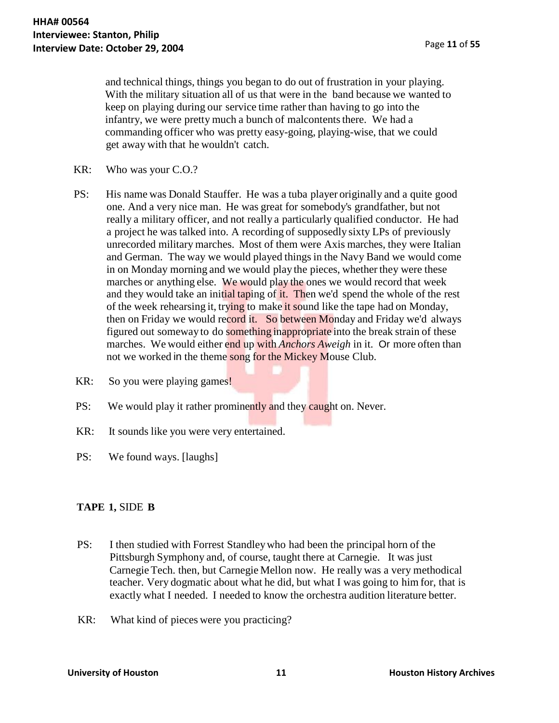and technical things, things you began to do out of frustration in your playing. With the military situation all of us that were in the band because we wanted to keep on playing during our service time rather than having to go into the infantry, we were pretty much a bunch of malcontents there. We had a commanding officer who was pretty easy-going, playing-wise, that we could get away with that he wouldn't catch.

- KR: Who was your C.O.?
- PS: His name was Donald Stauffer. He was a tuba player originally and a quite good one. And a very nice man. He was great for somebody's grandfather, but not really a military officer, and not really a particularly qualified conductor. He had a project he was talked into. A recording of supposedly sixty LPs of previously unrecorded military marches. Most of them were Axis marches, they were Italian and German. The way we would played things in the Navy Band we would come in on Monday morning and we would play the pieces, whether they were these marches or anything else. We would play the ones we would record that week and they would take an initial taping of it. Then we'd spend the whole of the rest of the week rehearsing it, trying to make it sound like the tape had on Monday, then on Friday we would record it. So between Monday and Friday we'd always figured out someway to do something inappropriate into the break strain of these marches. We would either end up with *Anchors Aweigh* in it. Or more often than not we worked in the theme song for the Mickey Mouse Club.
- KR: So you were playing games!
- PS: We would play it rather prominently and they caught on. Never.
- KR: It sounds like you were very entertained.
- PS: We found ways. [laughs]

# **TAPE 1,** SIDE **B**

- PS: I then studied with Forrest Standleywho had been the principal horn of the Pittsburgh Symphony and, of course, taught there at Carnegie. It was just Carnegie Tech. then, but Carnegie Mellon now. He really was a very methodical teacher. Very dogmatic about what he did, but what I was going to him for, that is exactly what I needed. I needed to know the orchestra audition literature better.
- KR: What kind of pieces were you practicing?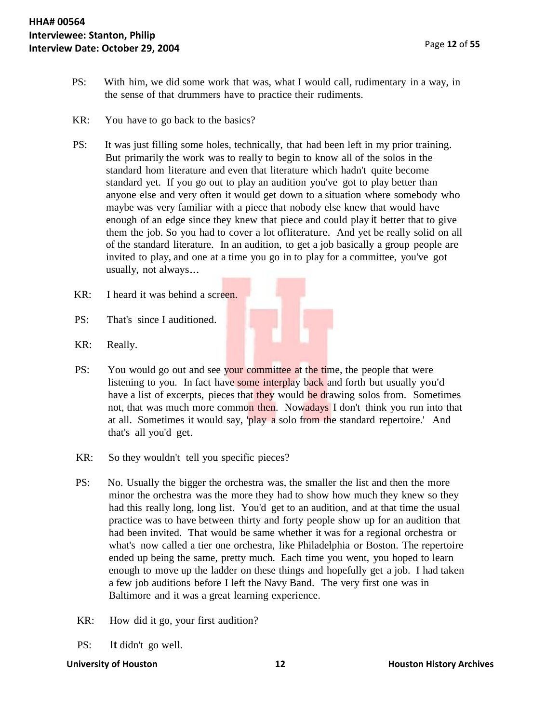- PS: With him, we did some work that was, what I would call, rudimentary in a way, in the sense of that drummers have to practice their rudiments.
- KR: You have to go back to the basics?
- PS: It was just filling some holes, technically, that had been left in my prior training. But primarily the work was to really to begin to know all of the solos in the standard hom literature and even that literature which hadn't quite become standard yet. If you go out to play an audition you've got to play better than anyone else and very often it would get down to a situation where somebody who maybe was very familiar with a piece that nobody else knew that would have enough of an edge since they knew that piece and could play it better that to give them the job. So you had to cover a lot ofliterature. And yet be really solid on all of the standard literature. In an audition, to get a job basically a group people are invited to play, and one at a time you go in to play for a committee, you've got usually, not always...
- KR: I heard it was behind a screen.
- PS: That's since I auditioned.
- KR: Really.
- PS: You would go out and see your committee at the time, the people that were listening to you. In fact have some interplay back and forth but usually you'd have a list of excerpts, pieces that they would be drawing solos from. Sometimes not, that was much more common then. Nowadays I don't think you run into that at all. Sometimes it would say, 'play a solo from the standard repertoire.' And that's all you'd get.
- KR: So they wouldn't tell you specific pieces?
- PS: No. Usually the bigger the orchestra was, the smaller the list and then the more minor the orchestra was the more they had to show how much they knew so they had this really long, long list. You'd get to an audition, and at that time the usual practice was to have between thirty and forty people show up for an audition that had been invited. That would be same whether it was for a regional orchestra or what's now called a tier one orchestra, like Philadelphia or Boston. The repertoire ended up being the same, pretty much. Each time you went, you hoped to learn enough to move up the ladder on these things and hopefully get a job. I had taken a few job auditions before I left the Navy Band. The very first one was in Baltimore and it was a great learning experience.
- KR: How did it go, your first audition?
- PS: It didn't go well.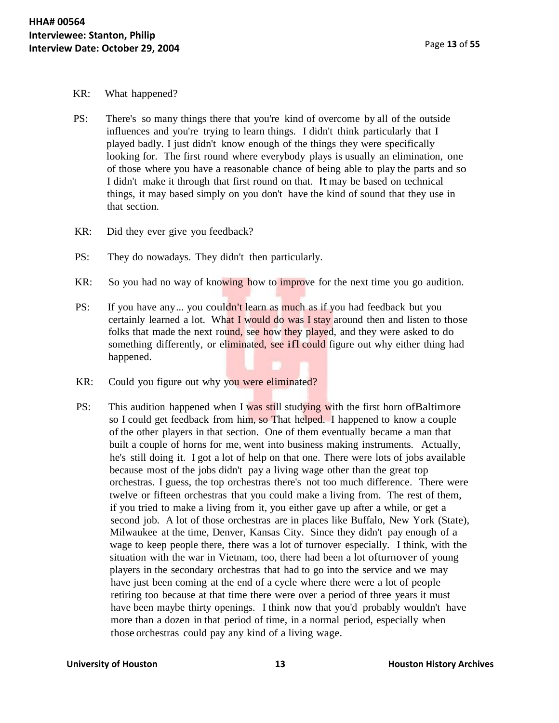- KR: What happened?
- PS: There's so many things there that you're kind of overcome by all of the outside influences and you're trying to learn things. I didn't think particularly that I played badly. I just didn't know enough of the things they were specifically looking for. The first round where everybody plays is usually an elimination, one of those where you have a reasonable chance of being able to play the parts and so I didn't make it through that first round on that. It may be based on technical things, it may based simply on you don't have the kind of sound that they use in that section.
- KR: Did they ever give you feedback?
- PS: They do nowadays. They didn't then particularly.
- KR: So you had no way of knowing how to improve for the next time you go audition.
- PS: If you have any... you couldn't learn as much as if you had feedback but you certainly learned a lot. What I would do was I stay around then and listen to those folks that made the next round, see how they played, and they were asked to do something differently, or eliminated, see ifl could figure out why either thing had happened.
- KR: Could you figure out why you were eliminated?
- PS: This audition happened when I was still studying with the first horn of Baltimore so I could get feedback from him, so That helped. I happened to know a couple of the other players in that section. One of them eventually became a man that built a couple of horns for me, went into business making instruments. Actually, he's still doing it. I got a lot of help on that one. There were lots of jobs available because most of the jobs didn't pay a living wage other than the great top orchestras. I guess, the top orchestras there's not too much difference. There were twelve or fifteen orchestras that you could make a living from. The rest of them, if you tried to make a living from it, you either gave up after a while, or get a second job. A lot of those orchestras are in places like Buffalo, New York (State), Milwaukee at the time, Denver, Kansas City. Since they didn't pay enough of a wage to keep people there, there was a lot of turnover especially. I think, with the situation with the war in Vietnam, too, there had been a lot ofturnover of young players in the secondary orchestras that had to go into the service and we may have just been coming at the end of a cycle where there were a lot of people retiring too because at that time there were over a period of three years it must have been maybe thirty openings. I think now that you'd probably wouldn't have more than a dozen in that period of time, in a normal period, especially when those orchestras could pay any kind of a living wage.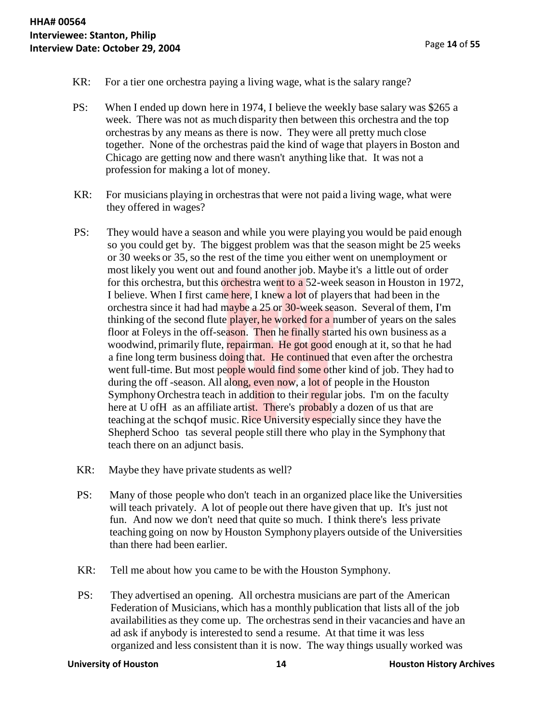- KR: For a tier one orchestra paying a living wage, what is the salary range?
- PS: When I ended up down here in 1974, I believe the weekly base salary was \$265 a week. There was not as much disparity then between this orchestra and the top orchestras by any means as there is now. They were all pretty much close together. None of the orchestras paid the kind of wage that playersin Boston and Chicago are getting now and there wasn't anything like that. It was not a profession for making a lot of money.
- KR: For musicians playing in orchestras that were not paid a living wage, what were they offered in wages?
- PS: They would have a season and while you were playing you would be paid enough so you could get by. The biggest problem was that the season might be 25 weeks or 30 weeks or 35, so the rest of the time you either went on unemployment or most likely you went out and found another job. Maybe it's a little out of order for this orchestra, but this orchestra went to a 52-week season in Houston in 1972, I believe. When I first came here, I knew a lot of playersthat had been in the orchestra since it had had maybe a 25 or 30-week season. Several of them, I'm thinking of the second flute player, he worked for a number of years on the sales floor at Foleys in the off-season. Then he finally started his own business as a woodwind, primarily flute, repairman. He got good enough at it, so that he had a fine long term business doing that. He continued that even after the orchestra went full-time. But most people would find some other kind of job. They had to during the off-season. All along, even now, a lot of people in the Houston Symphony Orchestra teach in addition to their regular jobs. I'm on the faculty here at U ofH as an affiliate artist. There's probably a dozen of us that are teaching at the schoof music. Rice University especially since they have the Shepherd Schoo tas several people still there who play in the Symphony that teach there on an adjunct basis.
- KR: Maybe they have private students as well?
- PS: Many of those people who don't teach in an organized place like the Universities will teach privately. A lot of people out there have given that up. It's just not fun. And now we don't need that quite so much. I think there's less private teaching going on now by Houston Symphony players outside of the Universities than there had been earlier.
- KR: Tell me about how you came to be with the Houston Symphony.
- PS: They advertised an opening. All orchestra musicians are part of the American Federation of Musicians, which has a monthly publication that lists all of the job availabilities as they come up. The orchestras send in their vacancies and have an ad ask if anybody is interested to send a resume. At that time it was less organized and less consistent than it is now. The way things usually worked was

**University of Houston 14 14 Houston History Archives**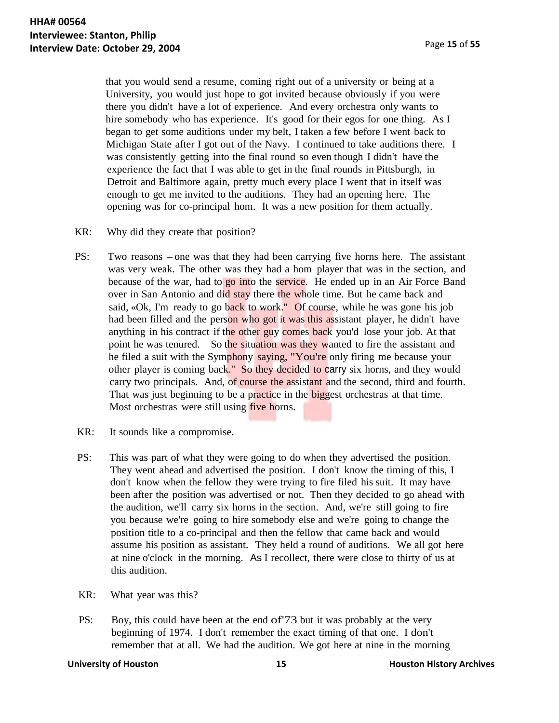that you would send a resume, coming right out of a university or being at a University, you would just hope to got invited because obviously if you were there you didn't have a lot of experience. And every orchestra only wants to hire somebody who has experience. It's good for their egos for one thing. As I began to get some auditions under my belt, I taken a few before I went back to Michigan State after I got out of the Navy. I continued to take auditions there. I was consistently getting into the final round so even though I didn't have the experience the fact that I was able to get in the final rounds in Pittsburgh, in Detroit and Baltimore again, pretty much every place I went that in itself was enough to get me invited to the auditions. They had an opening here. The opening was for co-principal hom. It was a new position for them actually.

- KR: Why did they create that position?
- PS: Two reasons -one was that they had been carrying five horns here. The assistant was very weak. The other was they had a hom player that was in the section, and because of the war, had to go into the service. He ended up in an Air Force Band over in San Antonio and did stay there the whole time. But he came back and said, «Ok, I'm ready to go back to work." Of course, while he was gone his job had been filled and the person who got it was this assistant player, he didn't have anything in his contract if the other guy comes back you'd lose your job. At that point he was tenured. So the situation was they wanted to fire the assistant and he filed a suit with the Symphony saying, "You're only firing me because your other player is coming back." So they decided to carry six horns, and they would carry two principals. And, of course the assistant and the second, third and fourth. That was just beginning to be a practice in the biggest orchestras at that time. Most orchestras were still using five horns.
- KR: It sounds like a compromise.
- PS: This was part of what they were going to do when they advertised the position. They went ahead and advertised the position. I don't know the timing of this, I don't know when the fellow they were trying to fire filed his suit. It may have been after the position was advertised or not. Then they decided to go ahead with the audition, we'll carry six horns in the section. And, we're still going to fire you because we're going to hire somebody else and we're going to change the position title to a co-principal and then the fellow that came back and would assume his position as assistant. They held a round of auditions. We all got here at nine o'clock in the morning. As I recollect, there were close to thirty of us at this audition.
- KR: What year was this?
- PS: Boy, this could have been at the end of'73 but it was probably at the very beginning of 1974. I don't remember the exact timing of that one. I don't remember that at all. We had the audition. We got here at nine in the morning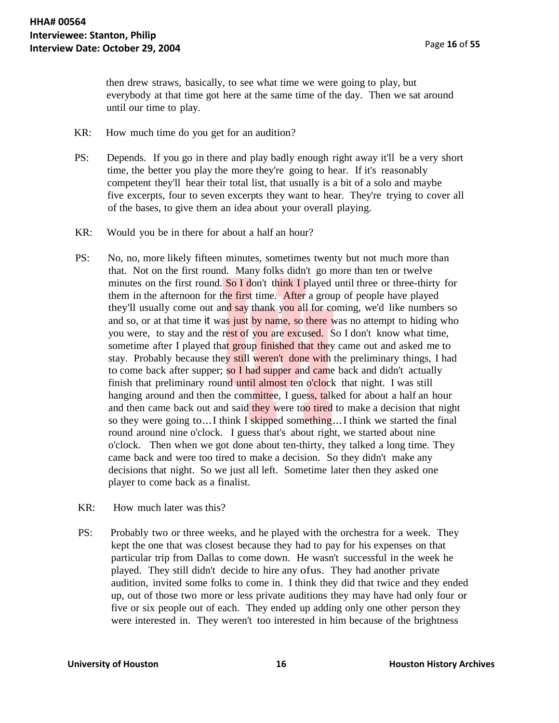then drew straws, basically, to see what time we were going to play, but everybody at that time got here at the same time of the day. Then we sat around until our time to play.

- KR: How much time do you get for an audition?
- PS: Depends. If you go in there and play badly enough right away it'll be a very short time, the better you play the more they're going to hear. If it's reasonably competent they'll hear their total list, that usually is a bit of a solo and maybe five excerpts, four to seven excerpts they want to hear. They're trying to cover all of the bases, to give them an idea about your overall playing.
- KR: Would you be in there for about a half an hour?
- PS: No, no, more likely fifteen minutes, sometimes twenty but not much more than that. Not on the first round. Many folks didn't go more than ten or twelve minutes on the first round. So I don't think I played until three or three-thirty for them in the afternoon for the first time. After a group of people have played they'll usually come out and say thank you all for coming, we'd like numbers so and so, or at that time it was just by name, so there was no attempt to hiding who you were, to stay and the rest of you are excused. So I don't know what time, sometime after I played that group finished that they came out and asked me to stay. Probably because they still weren't done with the preliminary things, I had to come back after supper; so I had supper and came back and didn't actually finish that preliminary round until almost ten o'clock that night. I was still hanging around and then the committee, I guess, talked for about a half an hour and then came back out and said they were too tired to make a decision that night so they were going to...I think I skipped something...I think we started the final round around nine o'clock. I guess that's about right, we started about nine o'clock. Then when we got done about ten-thirty, they talked a long time. They came back and were too tired to make a decision. So they didn't make any decisions that night. So we just all left. Sometime later then they asked one player to come back as a finalist.
- KR: How much later was this?
- PS: Probably two or three weeks, and he played with the orchestra for a week. They kept the one that was closest because they had to pay for his expenses on that particular trip from Dallas to come down. He wasn't successful in the week he played. They still didn't decide to hire any ofus. They had another private audition, invited some folks to come in. I think they did that twice and they ended up, out of those two more or less private auditions they may have had only four or five or six people out of each. They ended up adding only one other person they were interested in. They weren't too interested in him because of the brightness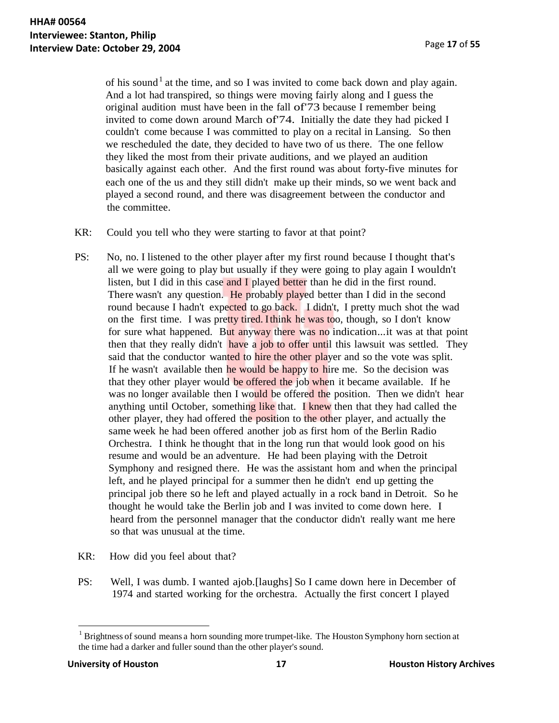of his sound<sup>1</sup> at the time, and so I was invited to come back down and play again. And a lot had transpired, so things were moving fairly along and I guess the original audition must have been in the fall of'73 because I remember being invited to come down around March of'74. Initially the date they had picked I couldn't come because I was committed to play on a recital in Lansing. So then we rescheduled the date, they decided to have two of us there. The one fellow they liked the most from their private auditions, and we played an audition basically against each other. And the first round was about forty-five minutes for each one of the us and they still didn't make up their minds, so we went back and played a second round, and there was disagreement between the conductor and the committee.

- KR: Could you tell who they were starting to favor at that point?
- PS: No, no. I listened to the other player after my first round because I thought that's all we were going to play but usually if they were going to play again I wouldn't listen, but I did in this case and I played better than he did in the first round. There wasn't any question. He probably played better than I did in the second round because I hadn't expected to go back. I didn't, I pretty much shot the wad on the first time. I was pretty tired. I think he was too, though, so I don't know for sure what happened. But anyway there was no indication...it was at that point then that they really didn't have a job to offer until this lawsuit was settled. They said that the conductor wanted to hire the other player and so the vote was split. If he wasn't available then he would be happy to hire me. So the decision was that they other player would be offered the job when it became available. If he was no longer available then I would be offered the position. Then we didn't hear anything until October, something like that. I knew then that they had called the other player, they had offered the position to the other player, and actually the same week he had been offered another job as first hom of the Berlin Radio Orchestra. I think he thought that in the long run that would look good on his resume and would be an adventure. He had been playing with the Detroit Symphony and resigned there. He was the assistant hom and when the principal left, and he played principal for a summer then he didn't end up getting the principal job there so he left and played actually in a rock band in Detroit. So he thought he would take the Berlin job and I was invited to come down here. I heard from the personnel manager that the conductor didn't really want me here so that was unusual at the time.
- KR: How did you feel about that?
- PS: Well, I was dumb. I wanted ajob.[laughs] So I came down here in December of 1974 and started working for the orchestra. Actually the first concert I played

<sup>1</sup> Brightness of sound means a horn sounding more trumpet-like. The Houston Symphony horn section at the time had a darker and fuller sound than the other player's sound.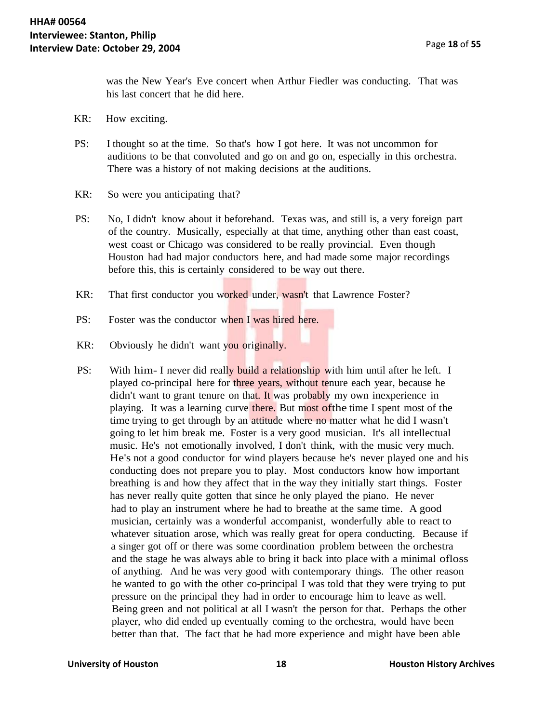was the New Year's Eve concert when Arthur Fiedler was conducting. That was his last concert that he did here.

- KR: How exciting.
- PS: I thought so at the time. So that's how I got here. It was not uncommon for auditions to be that convoluted and go on and go on, especially in this orchestra. There was a history of not making decisions at the auditions.
- KR: So were you anticipating that?
- PS: No, I didn't know about it beforehand. Texas was, and still is, a very foreign part of the country. Musically, especially at that time, anything other than east coast, west coast or Chicago was considered to be really provincial. Even though Houston had had major conductors here, and had made some major recordings before this, this is certainly considered to be way out there.
- KR: That first conductor you worked under, wasn't that Lawrence Foster?
- PS: Foster was the conductor when I was hired here.
- KR: Obviously he didn't want you originally.
- PS: With him- I never did really build a relationship with him until after he left. I played co-principal here for three years, without tenure each year, because he didn't want to grant tenure on that. It was probably my own inexperience in playing. It was a learning curve there. But most ofthe time I spent most of the time trying to get through by an attitude where no matter what he did I wasn't going to let him break me. Foster is a very good musician. It's all intellectual music. He's not emotionally involved, I don't think, with the music very much. He's not a good conductor for wind players because he's never played one and his conducting does not prepare you to play. Most conductors know how important breathing is and how they affect that in the way they initially start things. Foster has never really quite gotten that since he only played the piano. He never had to play an instrument where he had to breathe at the same time. A good musician, certainly was a wonderful accompanist, wonderfully able to react to whatever situation arose, which was really great for opera conducting. Because if a singer got off or there was some coordination problem between the orchestra and the stage he was always able to bring it back into place with a minimal ofloss of anything. And he was very good with contemporary things. The other reason he wanted to go with the other co-principal I was told that they were trying to put pressure on the principal they had in order to encourage him to leave as well. Being green and not political at all I wasn't the person for that. Perhaps the other player, who did ended up eventually coming to the orchestra, would have been better than that. The fact that he had more experience and might have been able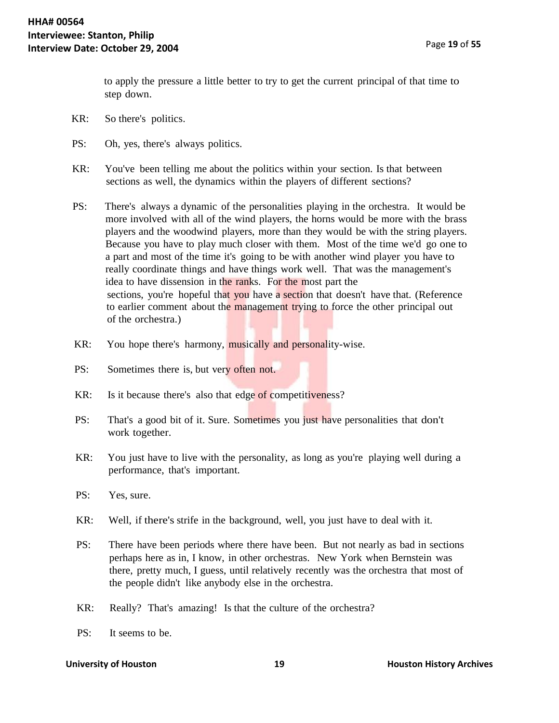to apply the pressure a little better to try to get the current principal of that time to step down.

- KR: So there's politics.
- PS: Oh, yes, there's always politics.
- KR: You've been telling me about the politics within your section. Is that between sections as well, the dynamics within the players of different sections?
- PS: There's always a dynamic of the personalities playing in the orchestra. It would be more involved with all of the wind players, the horns would be more with the brass players and the woodwind players, more than they would be with the string players. Because you have to play much closer with them. Most of the time we'd go one to a part and most of the time it's going to be with another wind player you have to really coordinate things and have things work well. That was the management's idea to have dissension in the ranks. For the most part the sections, you're hopeful that you have a section that doesn't have that. (Reference to earlier comment about the management trying to force the other principal out of the orchestra.)
- KR: You hope there's harmony, musically and personality-wise.
- PS: Sometimes there is, but very often not.
- KR: Is it because there's also that edge of competitiveness?
- PS: That's a good bit of it. Sure. Sometimes you just have personalities that don't work together.
- KR: You just have to live with the personality, as long as you're playing well during a performance, that's important.
- PS: Yes, sure.
- KR: Well, if there's strife in the background, well, you just have to deal with it.
- PS: There have been periods where there have been. But not nearly as bad in sections perhaps here as in, I know, in other orchestras. New York when Bernstein was there, pretty much, I guess, until relatively recently was the orchestra that most of the people didn't like anybody else in the orchestra.
- KR: Really? That's amazing! Is that the culture of the orchestra?
- PS: It seems to be.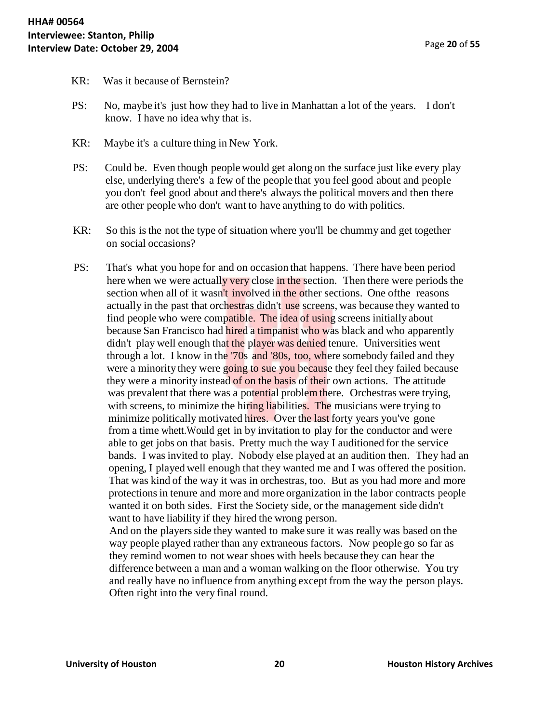- KR: Was it because of Bernstein?
- PS: No, maybe it's just how they had to live in Manhattan a lot of the years. I don't know. I have no idea why that is.
- KR: Maybe it's a culture thing in New York.
- PS: Could be. Even though people would get along on the surface just like every play else, underlying there's a few of the people that you feel good about and people you don't feel good about and there's always the political movers and then there are other people who don't want to have anything to do with politics.
- KR: So this isthe not the type of situation where you'll be chummy and get together on social occasions?
- PS: That's what you hope for and on occasion that happens. There have been period here when we were actually very close in the section. Then there were periods the section when all of it wasn't involved in the other sections. One of the reasons actually in the past that orchestras didn't use screens, was because they wanted to find people who were compatible. The idea of using screens initially about because San Francisco had hired a timpanist who was black and who apparently didn't play well enough that the player was denied tenure. Universities went through a lot. I know in the '70s and '80s, too, where somebody failed and they were a minority they were going to sue you because they feel they failed because they were a minority instead of on the basis of their own actions. The attitude was prevalent that there was a potential problem there. Orchestras were trying, with screens, to minimize the hiring liabilities. The musicians were trying to minimize politically motivated hires. Over the last forty years you've gone from a time whett.Would get in by invitation to play for the conductor and were able to get jobs on that basis. Pretty much the way I auditioned for the service bands. I was invited to play. Nobody else played at an audition then. They had an opening, I played well enough that they wanted me and I was offered the position. That was kind of the way it was in orchestras, too. But as you had more and more protectionsin tenure and more and more organization in the labor contracts people wanted it on both sides. First the Society side, or the management side didn't want to have liability if they hired the wrong person.

And on the players side they wanted to make sure it was really was based on the way people played rather than any extraneous factors. Now people go so far as they remind women to not wear shoes with heels because they can hear the difference between a man and a woman walking on the floor otherwise. You try and really have no influence from anything except from the way the person plays. Often right into the very final round.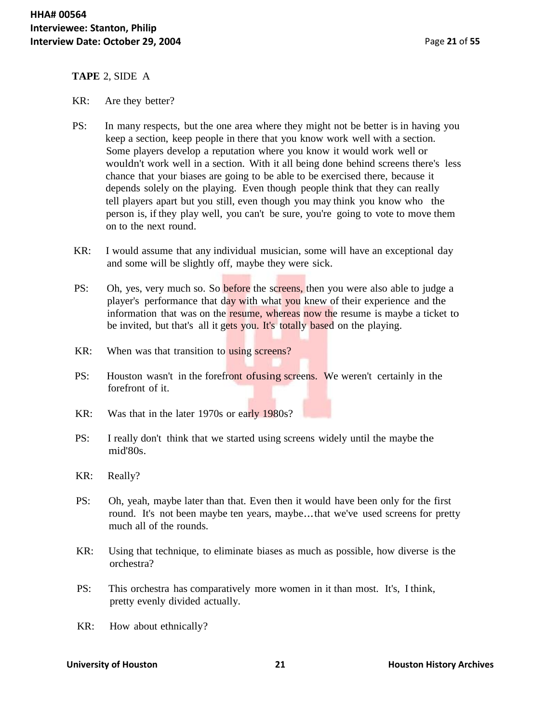### **TAPE** 2, SIDE A

### KR: Are they better?

- PS: In many respects, but the one area where they might not be better is in having you keep a section, keep people in there that you know work well with a section. Some players develop a reputation where you know it would work well or wouldn't work well in a section. With it all being done behind screens there's less chance that your biases are going to be able to be exercised there, because it depends solely on the playing. Even though people think that they can really tell players apart but you still, even though you may think you know who the person is, if they play well, you can't be sure, you're going to vote to move them on to the next round.
- KR: I would assume that any individual musician, some will have an exceptional day and some will be slightly off, maybe they were sick.
- PS: Oh, yes, very much so. So before the screens, then you were also able to judge a player's performance that day with what you knew of their experience and the information that was on the resume, whereas now the resume is maybe a ticket to be invited, but that's all it gets you. It's totally based on the playing.
- KR: When was that transition to using screens?
- PS: Houston wasn't in the forefront ofusing screens. We weren't certainly in the forefront of it.
- KR: Was that in the later 1970s or early 1980s?
- PS: I really don't think that we started using screens widely until the maybe the mid'80s.
- KR: Really?
- PS: Oh, yeah, maybe later than that. Even then it would have been only for the first round. It's not been maybe ten years, maybe...that we've used screens for pretty much all of the rounds.
- KR: Using that technique, to eliminate biases as much as possible, how diverse is the orchestra?
- PS: This orchestra has comparatively more women in it than most. It's, I think, pretty evenly divided actually.
- KR: How about ethnically?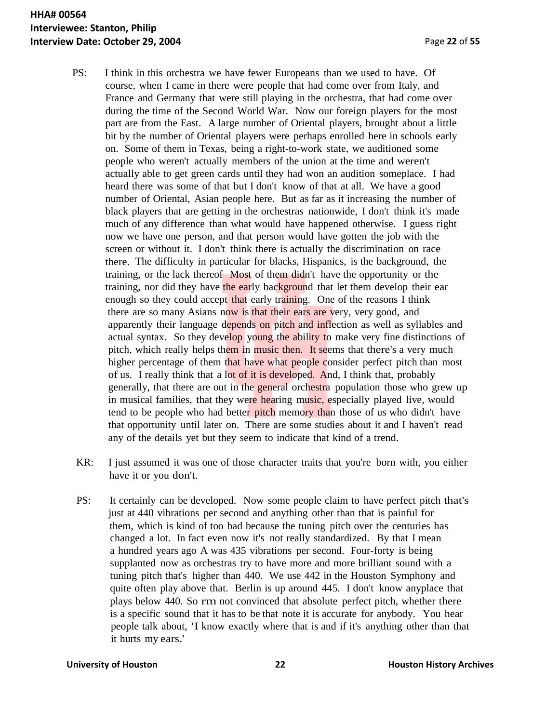- PS: I think in this orchestra we have fewer Europeans than we used to have. Of course, when I came in there were people that had come over from Italy, and France and Germany that were still playing in the orchestra, that had come over during the time of the Second World War. Now our foreign players for the most part are from the East. A large number of Oriental players, brought about a little bit by the number of Oriental players were perhaps enrolled here in schools early on. Some of them in Texas, being a right-to-work state, we auditioned some people who weren't actually members of the union at the time and weren't actually able to get green cards until they had won an audition someplace. I had heard there was some of that but I don't know of that at all. We have a good number of Oriental, Asian people here. But as far as it increasing the number of black players that are getting in the orchestras nationwide, I don't think it's made much of any difference than what would have happened otherwise. I guess right now we have one person, and that person would have gotten the job with the screen or without it. I don't think there is actually the discrimination on race there. The difficulty in particular for blacks, Hispanics, is the background, the training, or the lack thereof Most of them didn't have the opportunity or the training, nor did they have the early background that let them develop their ear enough so they could accept that early training. One of the reasons I think there are so many Asians now is that their ears are very, very good, and apparently their language depends on pitch and inflection as well as syllables and actual syntax. So they develop young the ability to make very fine distinctions of pitch, which really helps them in music then. It seems that there's a very much higher percentage of them that have what people consider perfect pitch than most of us. I really think that a lot of it is developed. And, I think that, probably generally, that there are out in the general orchestra population those who grew up in musical families, that they were hearing music, especially played live, would tend to be people who had better pitch memory than those of us who didn't have that opportunity until later on. There are some studies about it and I haven't read any of the details yet but they seem to indicate that kind of a trend.
- KR: I just assumed it was one of those character traits that you're born with, you either have it or you don't.
- PS: It certainly can be developed. Now some people claim to have perfect pitch that's just at 440 vibrations per second and anything other than that is painful for them, which is kind of too bad because the tuning pitch over the centuries has changed a lot. In fact even now it's not really standardized. By that I mean a hundred years ago A was 435 vibrations per second. Four-forty is being supplanted now as orchestras try to have more and more brilliant sound with a tuning pitch that's higher than 440. We use 442 in the Houston Symphony and quite often play above that. Berlin is up around 445. I don't know anyplace that plays below 440. So rm not convinced that absolute perfect pitch, whether there is a specific sound that it has to be that note it is accurate for anybody. You hear people talk about, 'I know exactly where that is and if it's anything other than that it hurts my ears.'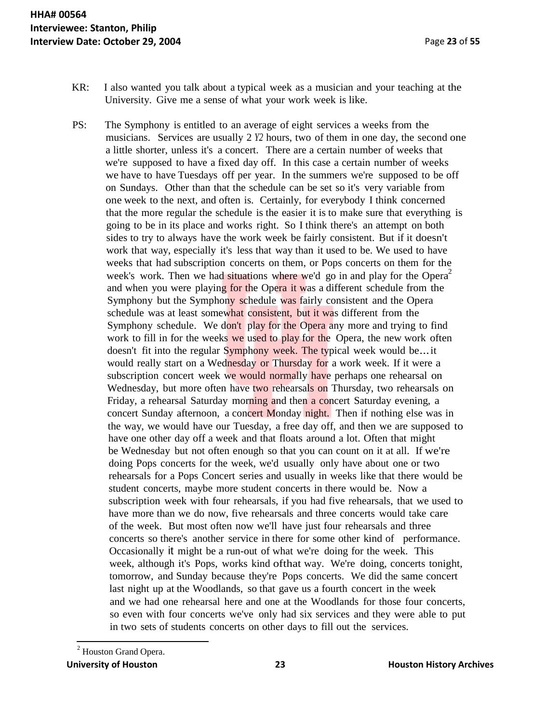- KR: I also wanted you talk about a typical week as a musician and your teaching at the University. Give me a sense of what your work week is like.
- PS: The Symphony is entitled to an average of eight services a weeks from the musicians. Services are usually 2 *Y2* hours, two of them in one day, the second one a little shorter, unless it's a concert. There are a certain number of weeks that we're supposed to have a fixed day off. In this case a certain number of weeks we have to have Tuesdays off per year. In the summers we're supposed to be off on Sundays. Other than that the schedule can be set so it's very variable from one week to the next, and often is. Certainly, for everybody I think concerned that the more regular the schedule is the easier it is to make sure that everything is going to be in its place and works right. So I think there's an attempt on both sides to try to always have the work week be fairly consistent. But if it doesn't work that way, especially it's less that way than it used to be. We used to have weeks that had subscription concerts on them, or Pops concerts on them for the week's work. Then we had situations where we'd go in and play for the Opera<sup>2</sup> and when you were playing for the Opera it was a different schedule from the Symphony but the Symphony schedule was fairly consistent and the Opera schedule was at least somewhat consistent, but it was different from the Symphony schedule. We don't play for the Opera any more and trying to find work to fill in for the weeks we used to play for the Opera, the new work often doesn't fit into the regular Symphony week. The typical week would be... it would really start on a Wednesday or Thursday for a work week. If it were a subscription concert week we would normally have perhaps one rehearsal on Wednesday, but more often have two rehearsals on Thursday, two rehearsals on Friday, a rehearsal Saturday morning and then a concert Saturday evening, a concert Sunday afternoon, a concert Monday night. Then if nothing else was in the way, we would have our Tuesday, a free day off, and then we are supposed to have one other day off a week and that floats around a lot. Often that might be Wednesday but not often enough so that you can count on it at all. If we're doing Pops concerts for the week, we'd usually only have about one or two rehearsals for a Pops Concert series and usually in weeks like that there would be student concerts, maybe more student concerts in there would be. Now a subscription week with four rehearsals, if you had five rehearsals, that we used to have more than we do now, five rehearsals and three concerts would take care of the week. But most often now we'll have just four rehearsals and three concerts so there's another service in there for some other kind of performance. Occasionally it might be a run-out of what we're doing for the week. This week, although it's Pops, works kind ofthat way. We're doing, concerts tonight, tomorrow, and Sunday because they're Pops concerts. We did the same concert last night up at the Woodlands, so that gave us a fourth concert in the week and we had one rehearsal here and one at the Woodlands for those four concerts, so even with four concerts we've only had six services and they were able to put in two sets of students concerts on other days to fill out the services.

<sup>&</sup>lt;sup>2</sup> Houston Grand Opera.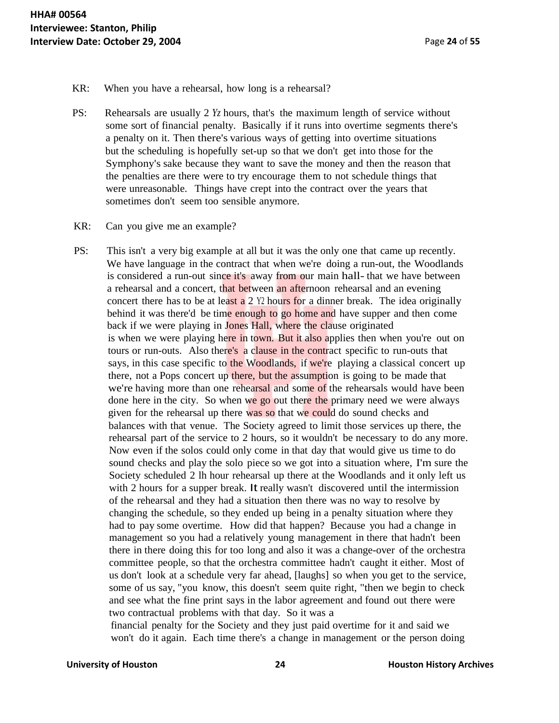- KR: When you have a rehearsal, how long is a rehearsal?
- PS: Rehearsals are usually 2 *Yz* hours, that's the maximum length of service without some sort of financial penalty. Basically if it runs into overtime segments there's a penalty on it. Then there's various ways of getting into overtime situations but the scheduling is hopefully set-up so that we don't get into those for the Symphony's sake because they want to save the money and then the reason that the penalties are there were to try encourage them to not schedule things that were unreasonable. Things have crept into the contract over the years that sometimes don't seem too sensible anymore.
- KR: Can you give me an example?
- PS: This isn't a very big example at all but it was the only one that came up recently. We have language in the contract that when we're doing a run-out, the Woodlands is considered a run-out since it's away from our main hall- that we have between a rehearsal and a concert, that between an afternoon rehearsal and an evening concert there has to be at least  $a$  2 Y<sub>2</sub> hours for a dinner break. The idea originally behind it was there'd be time enough to go home and have supper and then come back if we were playing in Jones Hall, where the clause originated is when we were playing here in town. But it also applies then when you're out on tours or run-outs. Also there's a clause in the contract specific to run-outs that says, in this case specific to the Woodlands, if we're playing a classical concert up there, not a Pops concert up there, but the assumption is going to be made that we're having more than one rehearsal and some of the rehearsals would have been done here in the city. So when we go out there the primary need we were always given for the rehearsal up there was so that we could do sound checks and balances with that venue. The Society agreed to limit those services up there, the rehearsal part of the service to 2 hours, so it wouldn't be necessary to do any more. Now even if the solos could only come in that day that would give us time to do sound checks and play the solo piece so we got into a situation where, I'm sure the Society scheduled 2 lh hour rehearsal up there at the Woodlands and it only left us with 2 hours for a supper break. It really wasn't discovered until the intermission of the rehearsal and they had a situation then there was no way to resolve by changing the schedule, so they ended up being in a penalty situation where they had to pay some overtime. How did that happen? Because you had a change in management so you had a relatively young management in there that hadn't been there in there doing this for too long and also it was a change-over of the orchestra committee people, so that the orchestra committee hadn't caught it either. Most of us don't look at a schedule very far ahead, [laughs] so when you get to the service, some of us say, "you know, this doesn't seem quite right, "then we begin to check and see what the fine print says in the labor agreement and found out there were two contractual problems with that day. So it was a

financial penalty for the Society and they just paid overtime for it and said we won't do it again. Each time there's a change in management or the person doing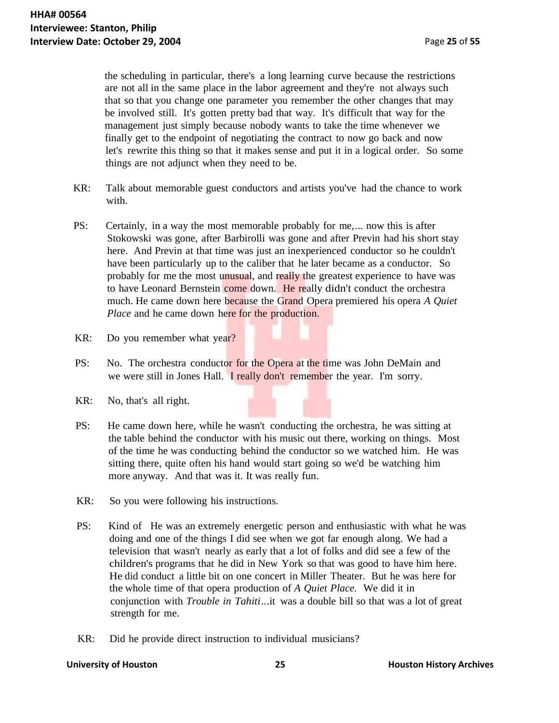the scheduling in particular, there's a long learning curve because the restrictions are not all in the same place in the labor agreement and they're not always such that so that you change one parameter you remember the other changes that may be involved still. It's gotten pretty bad that way. It's difficult that way for the management just simply because nobody wants to take the time whenever we finally get to the endpoint of negotiating the contract to now go back and now let's rewrite this thing so that it makes sense and put it in a logical order. So some things are not adjunct when they need to be.

- KR: Talk about memorable guest conductors and artists you've had the chance to work with.
- PS: Certainly, in a way the most memorable probably for me,... now this is after Stokowski was gone, after Barbirolli was gone and after Previn had his short stay here. And Previn at that time was just an inexperienced conductor so he couldn't have been particularly up to the caliber that he later became as a conductor. So probably for me the most unusual, and really the greatest experience to have was to have Leonard Bernstein come down. He really didn't conduct the orchestra much. He came down here because the Grand Opera premiered his opera *A Quiet Place* and he came down here for the production.
- KR: Do you remember what year?
- PS: No. The orchestra conductor for the Opera at the time was John DeMain and we were still in Jones Hall. I really don't remember the year. I'm sorry.
- KR: No, that's all right.
- PS: He came down here, while he wasn't conducting the orchestra, he was sitting at the table behind the conductor with his music out there, working on things. Most of the time he was conducting behind the conductor so we watched him. He was sitting there, quite often his hand would start going so we'd be watching him more anyway. And that was it. It was really fun.
- KR: So you were following his instructions.
- PS: Kind of He was an extremely energetic person and enthusiastic with what he was doing and one of the things I did see when we got far enough along. We had a television that wasn't nearly as early that a lot of folks and did see a few of the children's programs that he did in New York so that was good to have him here. He did conduct a little bit on one concert in Miller Theater. But he was here for the whole time of that opera production of *A Quiet Place.* We did it in conjunction with *Trouble in Tahiti..*.it was a double bill so that was a lot of great strength for me.
- KR: Did he provide direct instruction to individual musicians?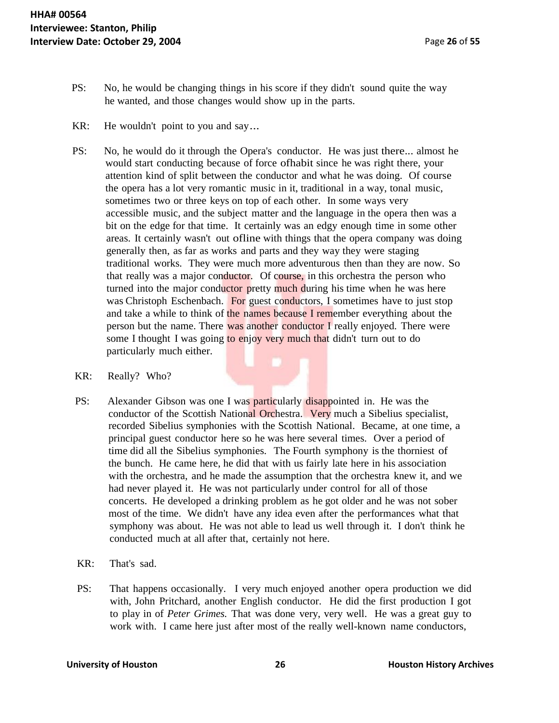- PS: No, he would be changing things in his score if they didn't sound quite the way he wanted, and those changes would show up in the parts.
- KR: He wouldn't point to you and say...
- PS: No, he would do it through the Opera's conductor. He was just there... almost he would start conducting because of force ofhabit since he was right there, your attention kind of split between the conductor and what he was doing. Of course the opera has a lot very romantic music in it, traditional in a way, tonal music, sometimes two or three keys on top of each other. In some ways very accessible music, and the subject matter and the language in the opera then was a bit on the edge for that time. It certainly was an edgy enough time in some other areas. It certainly wasn't out ofline with things that the opera company was doing generally then, as far as works and parts and they way they were staging traditional works. They were much more adventurous then than they are now. So that really was a major conductor. Of course, in this orchestra the person who turned into the major conductor pretty much during his time when he was here was Christoph Eschenbach. For guest conductors, I sometimes have to just stop and take a while to think of the names because I remember everything about the person but the name. There was another conductor I really enjoyed. There were some I thought I was going to enjoy very much that didn't turn out to do particularly much either.
- KR: Really? Who?
- PS: Alexander Gibson was one I was particularly disappointed in. He was the conductor of the Scottish National Orchestra. Very much a Sibelius specialist, recorded Sibelius symphonies with the Scottish National. Became, at one time, a principal guest conductor here so he was here several times. Over a period of time did all the Sibelius symphonies. The Fourth symphony is the thorniest of the bunch. He came here, he did that with us fairly late here in his association with the orchestra, and he made the assumption that the orchestra knew it, and we had never played it. He was not particularly under control for all of those concerts. He developed a drinking problem as he got older and he was not sober most of the time. We didn't have any idea even after the performances what that symphony was about. He was not able to lead us well through it. I don't think he conducted much at all after that, certainly not here.
- KR: That's sad.
- PS: That happens occasionally. I very much enjoyed another opera production we did with, John Pritchard, another English conductor. He did the first production I got to play in of *Peter Grimes.* That was done very, very well. He was a great guy to work with. I came here just after most of the really well-known name conductors,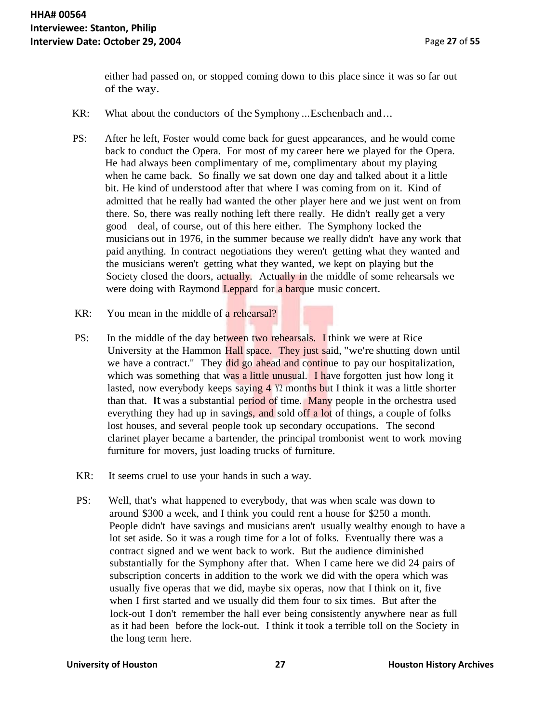either had passed on, or stopped coming down to this place since it was so far out of the way.

- KR: What about the conductors of the Symphony...Eschenbach and...
- PS: After he left, Foster would come back for guest appearances, and he would come back to conduct the Opera. For most of my career here we played for the Opera. He had always been complimentary of me, complimentary about my playing when he came back. So finally we sat down one day and talked about it a little bit. He kind of understood after that where I was coming from on it. Kind of admitted that he really had wanted the other player here and we just went on from there. So, there was really nothing left there really. He didn't really get a very good deal, of course, out of this here either. The Symphony locked the musicians out in 1976, in the summer because we really didn't have any work that paid anything. In contract negotiations they weren't getting what they wanted and the musicians weren't getting what they wanted, we kept on playing but the Society closed the doors, actually. Actually in the middle of some rehearsals we were doing with Raymond Leppard for a barque music concert.
- KR: You mean in the middle of a rehearsal?
- PS: In the middle of the day between two rehearsals. I think we were at Rice University at the Hammon Hall space. They just said, "we're shutting down until we have a contract." They did go ahead and continue to pay our hospitalization, which was something that was a little unusual. I have forgotten just how long it lasted, now everybody keeps saying 4 Y2 months but I think it was a little shorter than that. It was a substantial period of time. Many people in the orchestra used everything they had up in savings, and sold off a lot of things, a couple of folks lost houses, and several people took up secondary occupations. The second clarinet player became a bartender, the principal trombonist went to work moving furniture for movers, just loading trucks of furniture.
- KR: It seems cruel to use your hands in such a way.
- PS: Well, that's what happened to everybody, that was when scale was down to around \$300 a week, and I think you could rent a house for \$250 a month. People didn't have savings and musicians aren't usually wealthy enough to have a lot set aside. So it was a rough time for a lot of folks. Eventually there was a contract signed and we went back to work. But the audience diminished substantially for the Symphony after that. When I came here we did 24 pairs of subscription concerts in addition to the work we did with the opera which was usually five operas that we did, maybe six operas, now that I think on it, five when I first started and we usually did them four to six times. But after the lock-out I don't remember the hall ever being consistently anywhere near as full as it had been before the lock-out. I think it took a terrible toll on the Society in the long term here.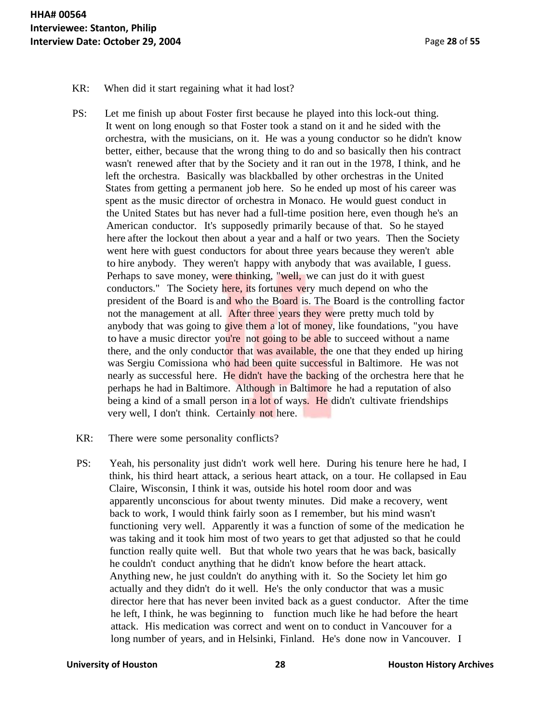- KR: When did it start regaining what it had lost?
- PS: Let me finish up about Foster first because he played into this lock-out thing. It went on long enough so that Foster took a stand on it and he sided with the orchestra, with the musicians, on it. He was a young conductor so he didn't know better, either, because that the wrong thing to do and so basically then his contract wasn't renewed after that by the Society and it ran out in the 1978, I think, and he left the orchestra. Basically was blackballed by other orchestras in the United States from getting a permanent job here. So he ended up most of his career was spent as the music director of orchestra in Monaco. He would guest conduct in the United States but has never had a full-time position here, even though he's an American conductor. It's supposedly primarily because of that. So he stayed here after the lockout then about a year and a half or two years. Then the Society went here with guest conductors for about three years because they weren't able to hire anybody. They weren't happy with anybody that was available, I guess. Perhaps to save money, were thinking, "well, we can just do it with guest conductors." The Society here, its fortunes very much depend on who the president of the Board is and who the Board is. The Board is the controlling factor not the management at all. After three years they were pretty much told by anybody that was going to give them a lot of money, like foundations, "you have to have a music director you're not going to be able to succeed without a name there, and the only conductor that was available, the one that they ended up hiring was Sergiu Comissiona who had been quite successful in Baltimore. He was not nearly as successful here. He didn't have the backing of the orchestra here that he perhaps he had in Baltimore. Although in Baltimore he had a reputation of also being a kind of a small person in a lot of ways. He didn't cultivate friendships very well, I don't think. Certainly not here.
- KR: There were some personality conflicts?
- PS: Yeah, his personality just didn't work well here. During his tenure here he had, I think, his third heart attack, a serious heart attack, on a tour. He collapsed in Eau Claire, Wisconsin, I think it was, outside his hotel room door and was apparently unconscious for about twenty minutes. Did make a recovery, went back to work, I would think fairly soon as I remember, but his mind wasn't functioning very well. Apparently it was a function of some of the medication he was taking and it took him most of two years to get that adjusted so that he could function really quite well. But that whole two years that he was back, basically he couldn't conduct anything that he didn't know before the heart attack. Anything new, he just couldn't do anything with it. So the Society let him go actually and they didn't do it well. He's the only conductor that was a music director here that has never been invited back as a guest conductor. After the time he left, I think, he was beginning to function much like he had before the heart attack. His medication was correct and went on to conduct in Vancouver for a long number of years, and in Helsinki, Finland. He's done now in Vancouver. I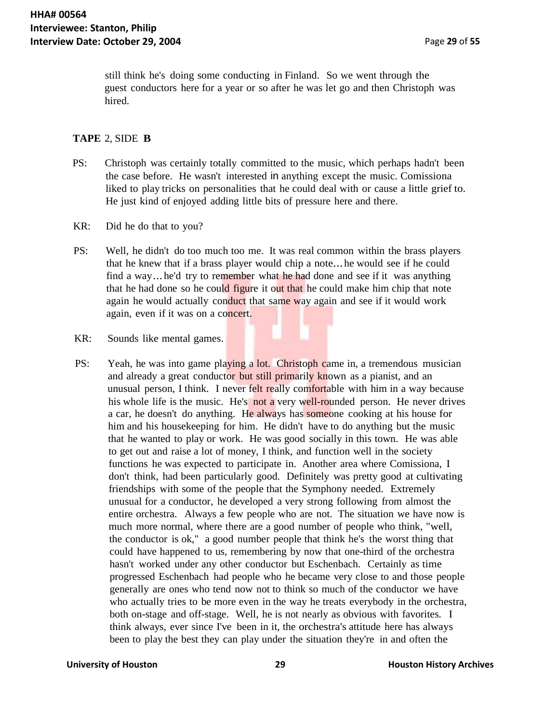still think he's doing some conducting in Finland. So we went through the guest conductors here for a year or so after he was let go and then Christoph was hired.

### **TAPE** 2, SIDE **B**

- PS: Christoph was certainly totally committed to the music, which perhaps hadn't been the case before. He wasn't interested in anything except the music. Comissiona liked to play tricks on personalities that he could deal with or cause a little grief to. He just kind of enjoyed adding little bits of pressure here and there.
- KR: Did he do that to you?
- PS: Well, he didn't do too much too me. It was real common within the brass players that he knew that if a brass player would chip a note...he would see if he could find a way...he'd try to remember what he had done and see if it was anything that he had done so he could figure it out that he could make him chip that note again he would actually conduct that same way again and see if it would work again, even if it was on a concert.
- KR: Sounds like mental games.
- PS: Yeah, he was into game playing a lot. Christoph came in, a tremendous musician and already a great conductor but still primarily known as a pianist, and an unusual person, I think. I never felt really comfortable with him in a way because his whole life is the music. He's not a very well-rounded person. He never drives a car, he doesn't do anything. He always has some one cooking at his house for him and his housekeeping for him. He didn't have to do anything but the music that he wanted to play or work. He was good socially in this town. He was able to get out and raise a lot of money, I think, and function well in the society functions he was expected to participate in. Another area where Comissiona, I don't think, had been particularly good. Definitely was pretty good at cultivating friendships with some of the people that the Symphony needed. Extremely unusual for a conductor, he developed a very strong following from almost the entire orchestra. Always a few people who are not. The situation we have now is much more normal, where there are a good number of people who think, "well, the conductor is ok," a good number people that think he's the worst thing that could have happened to us, remembering by now that one-third of the orchestra hasn't worked under any other conductor but Eschenbach. Certainly as time progressed Eschenbach had people who he became very close to and those people generally are ones who tend now not to think so much of the conductor we have who actually tries to be more even in the way he treats everybody in the orchestra, both on-stage and off-stage. Well, he is not nearly as obvious with favorites. I think always, ever since I've been in it, the orchestra's attitude here has always been to play the best they can play under the situation they're in and often the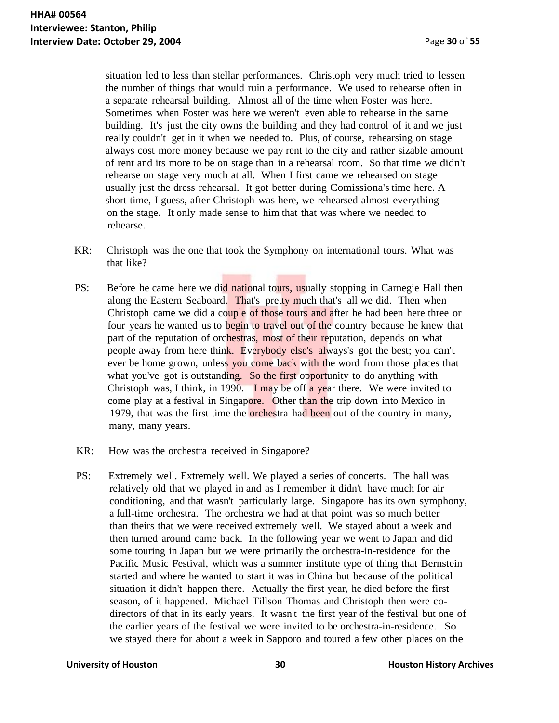situation led to less than stellar performances. Christoph very much tried to lessen the number of things that would ruin a performance. We used to rehearse often in a separate rehearsal building. Almost all of the time when Foster was here. Sometimes when Foster was here we weren't even able to rehearse in the same building. It's just the city owns the building and they had control of it and we just really couldn't get in it when we needed to. Plus, of course, rehearsing on stage always cost more money because we pay rent to the city and rather sizable amount of rent and its more to be on stage than in a rehearsal room. So that time we didn't rehearse on stage very much at all. When I first came we rehearsed on stage usually just the dress rehearsal. It got better during Comissiona's time here. A short time, I guess, after Christoph was here, we rehearsed almost everything on the stage. It only made sense to him that that was where we needed to rehearse.

- KR: Christoph was the one that took the Symphony on international tours. What was that like?
- PS: Before he came here we did national tours, usually stopping in Carnegie Hall then along the Eastern Seaboard. That's pretty much that's all we did. Then when Christoph came we did a couple of those tours and after he had been here three or four years he wanted us to begin to travel out of the country because he knew that part of the reputation of orchestras, most of their reputation, depends on what people away from here think. Everybody else's always's got the best; you can't ever be home grown, unless you come back with the word from those places that what you've got is outstanding. So the first opportunity to do anything with Christoph was, I think, in 1990. I may be off a year there. We were invited to come play at a festival in Singapore. Other than the trip down into Mexico in 1979, that was the first time the orchestra had been out of the country in many, many, many years.
- KR: How was the orchestra received in Singapore?
- PS: Extremely well. Extremely well. We played a series of concerts. The hall was relatively old that we played in and as I remember it didn't have much for air conditioning, and that wasn't particularly large. Singapore has its own symphony, a full-time orchestra. The orchestra we had at that point was so much better than theirs that we were received extremely well. We stayed about a week and then turned around came back. In the following year we went to Japan and did some touring in Japan but we were primarily the orchestra-in-residence for the Pacific Music Festival, which was a summer institute type of thing that Bernstein started and where he wanted to start it was in China but because of the political situation it didn't happen there. Actually the first year, he died before the first season, of it happened. Michael Tillson Thomas and Christoph then were codirectors of that in its early years. It wasn't the first year of the festival but one of the earlier years of the festival we were invited to be orchestra-in-residence. So we stayed there for about a week in Sapporo and toured a few other places on the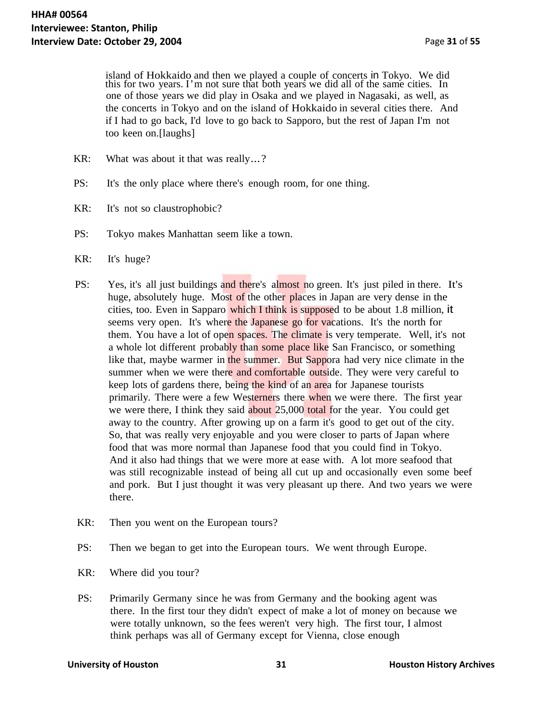island of Hokkaido and then we played a couple of concerts in Tokyo. We did this for two years. I'm not sure that both years we did all of the same cities. In one of those years we did play in Osaka and we played in Nagasaki, as well, as the concerts in Tokyo and on the island of Hokkaido in several cities there. And if I had to go back, I'd love to go back to Sapporo, but the rest of Japan I'm not too keen on.[laughs]

- KR: What was about it that was really...?
- PS: It's the only place where there's enough room, for one thing.
- KR: It's not so claustrophobic?
- PS: Tokyo makes Manhattan seem like a town.
- KR: It's huge?
- PS: Yes, it's all just buildings and there's almost no green. It's just piled in there. It's huge, absolutely huge. Most of the other places in Japan are very dense in the cities, too. Even in Sapparo which I think is supposed to be about 1.8 million, it seems very open. It's where the Japanese go for vacations. It's the north for them. You have a lot of open spaces. The climate is very temperate. Well, it's not a whole lot different probably than some place like San Francisco, or something like that, maybe warmer in the summer. But Sappora had very nice climate in the summer when we were there and comfortable outside. They were very careful to keep lots of gardens there, being the kind of an area for Japanese tourists primarily. There were a few Westerners there when we were there. The first year we were there, I think they said about 25,000 total for the year. You could get away to the country. After growing up on a farm it's good to get out of the city. So, that was really very enjoyable and you were closer to parts of Japan where food that was more normal than Japanese food that you could find in Tokyo. And it also had things that we were more at ease with. A lot more seafood that was still recognizable instead of being all cut up and occasionally even some beef and pork. But I just thought it was very pleasant up there. And two years we were there.
- KR: Then you went on the European tours?
- PS: Then we began to get into the European tours. We went through Europe.
- KR: Where did you tour?
- PS: Primarily Germany since he was from Germany and the booking agent was there. In the first tour they didn't expect of make a lot of money on because we were totally unknown, so the fees weren't very high. The first tour, I almost think perhaps was all of Germany except for Vienna, close enough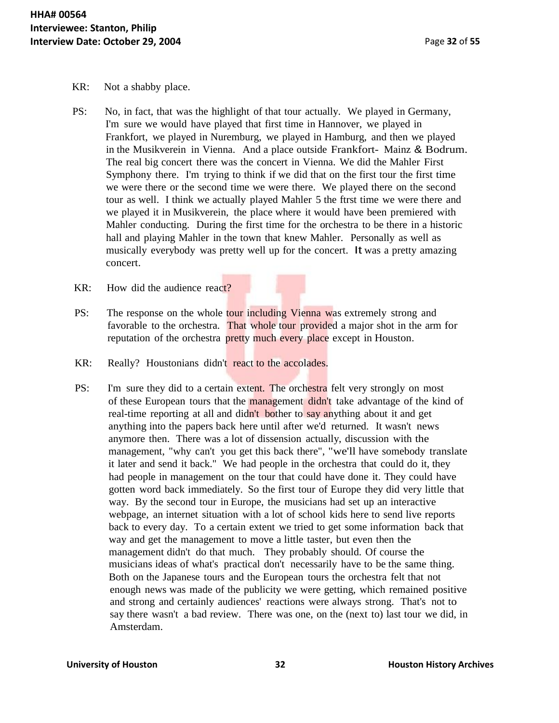- KR: Not a shabby place.
- PS: No, in fact, that was the highlight of that tour actually. We played in Germany, I'm sure we would have played that first time in Hannover, we played in Frankfort, we played in Nuremburg, we played in Hamburg, and then we played in the Musikverein in Vienna. And a place outside Frankfort- Mainz & Bodrum. The real big concert there was the concert in Vienna. We did the Mahler First Symphony there. I'm trying to think if we did that on the first tour the first time we were there or the second time we were there. We played there on the second tour as well. I think we actually played Mahler 5 the ftrst time we were there and we played it in Musikverein, the place where it would have been premiered with Mahler conducting. During the first time for the orchestra to be there in a historic hall and playing Mahler in the town that knew Mahler. Personally as well as musically everybody was pretty well up for the concert. It was a pretty amazing concert.
- KR: How did the audience react?
- PS: The response on the whole tour including Vienna was extremely strong and favorable to the orchestra. That whole tour provided a major shot in the arm for reputation of the orchestra pretty much every place except in Houston.
- KR: Really? Houstonians didn't react to the accolades.
- PS: I'm sure they did to a certain extent. The orchestra felt very strongly on most of these European tours that the management didn't take advantage of the kind of real-time reporting at all and didn't bother to say anything about it and get anything into the papers back here until after we'd returned. It wasn't news anymore then. There was a lot of dissension actually, discussion with the management, "why can't you get this back there", "we'll have somebody translate it later and send it back." We had people in the orchestra that could do it, they had people in management on the tour that could have done it. They could have gotten word back immediately. So the first tour of Europe they did very little that way. By the second tour in Europe, the musicians had set up an interactive webpage, an internet situation with a lot of school kids here to send live reports back to every day. To a certain extent we tried to get some information back that way and get the management to move a little taster, but even then the management didn't do that much. They probably should. Of course the musicians ideas of what's practical don't necessarily have to be the same thing. Both on the Japanese tours and the European tours the orchestra felt that not enough news was made of the publicity we were getting, which remained positive and strong and certainly audiences' reactions were always strong. That's not to say there wasn't a bad review. There was one, on the (next to) last tour we did, in Amsterdam.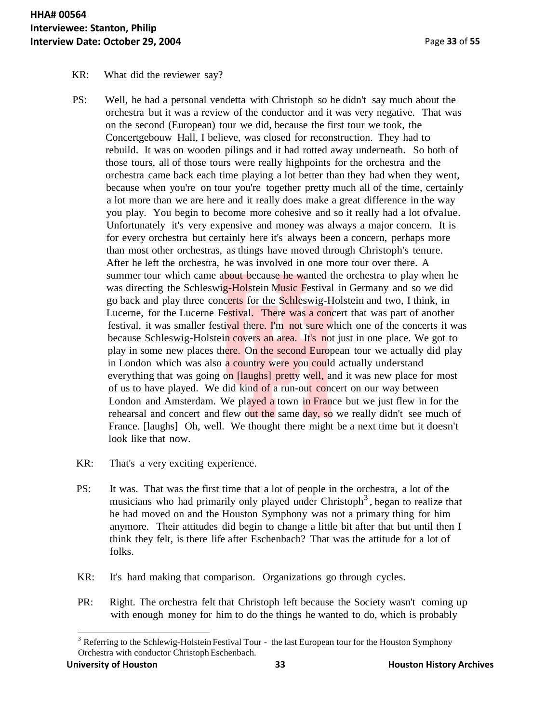### KR: What did the reviewer say?

- PS: Well, he had a personal vendetta with Christoph so he didn't say much about the orchestra but it was a review of the conductor and it was very negative. That was on the second (European) tour we did, because the first tour we took, the Concertgebouw Hall, I believe, was closed for reconstruction. They had to rebuild. It was on wooden pilings and it had rotted away underneath. So both of those tours, all of those tours were really highpoints for the orchestra and the orchestra came back each time playing a lot better than they had when they went, because when you're on tour you're together pretty much all of the time, certainly a lot more than we are here and it really does make a great difference in the way you play. You begin to become more cohesive and so it really had a lot ofvalue. Unfortunately it's very expensive and money was always a major concern. It is for every orchestra but certainly here it's always been a concern, perhaps more than most other orchestras, as things have moved through Christoph's tenure. After he left the orchestra, he was involved in one more tour over there. A summer tour which came about because he wanted the orchestra to play when he was directing the Schleswig-Holstein Music Festival in Germany and so we did go back and play three concerts for the Schleswig-Holstein and two, I think, in Lucerne, for the Lucerne Festival. There was a concert that was part of another festival, it was smaller festival there. I'm not sure which one of the concerts it was because Schleswig-Holstein covers an area. It's not just in one place. We got to play in some new places there. On the second European tour we actually did play in London which was also a country were you could actually understand everything that was going on [laughs] pretty well, and it was new place for most of us to have played. We did kind of a run-out concert on our way between London and Amsterdam. We played a town in France but we just flew in for the rehearsal and concert and flew out the same day, so we really didn't see much of France. [laughs] Oh, well. We thought there might be a next time but it doesn't look like that now.
- KR: That's a very exciting experience.
- musicians who had primarily only played under Christoph<sup>3</sup>, began to realize that PS: It was. That was the first time that a lot of people in the orchestra, a lot of the he had moved on and the Houston Symphony was not a primary thing for him anymore. Their attitudes did begin to change a little bit after that but until then I think they felt, is there life after Eschenbach? That was the attitude for a lot of folks.
- KR: It's hard making that comparison. Organizations go through cycles.
- PR: Right. The orchestra felt that Christoph left because the Society wasn't coming up with enough money for him to do the things he wanted to do, which is probably

<sup>&</sup>lt;sup>3</sup> Referring to the Schlewig-Holstein Festival Tour - the last European tour for the Houston Symphony Orchestra with conductor Christoph Eschenbach.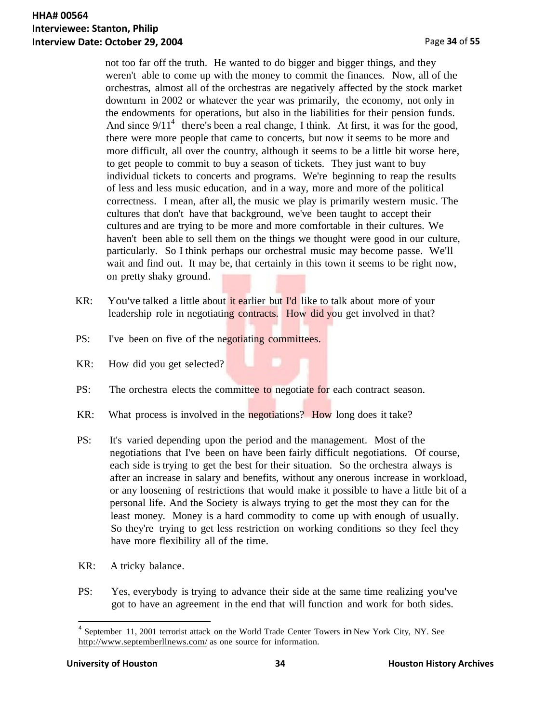not too far off the truth. He wanted to do bigger and bigger things, and they weren't able to come up with the money to commit the finances. Now, all of the orchestras, almost all of the orchestras are negatively affected by the stock market downturn in 2002 or whatever the year was primarily, the economy, not only in the endowments for operations, but also in the liabilities for their pension funds. And since  $9/11<sup>4</sup>$  there's been a real change, I think. At first, it was for the good, there were more people that came to concerts, but now it seems to be more and more difficult, all over the country, although it seems to be a little bit worse here, to get people to commit to buy a season of tickets. They just want to buy individual tickets to concerts and programs. We're beginning to reap the results of less and less music education, and in a way, more and more of the political correctness. I mean, after all, the music we play is primarily western music. The cultures that don't have that background, we've been taught to accept their cultures and are trying to be more and more comfortable in their cultures. We haven't been able to sell them on the things we thought were good in our culture, particularly. So I think perhaps our orchestral music may become passe. We'll wait and find out. It may be, that certainly in this town it seems to be right now, on pretty shaky ground.

- KR: You've talked a little about it earlier but I'd like to talk about more of your leadership role in negotiating contracts. How did you get involved in that?
- PS: I've been on five of the negotiating committees.
- KR: How did you get selected?
- PS: The orchestra elects the committee to negotiate for each contract season.
- KR: What process is involved in the negotiations? How long does it take?
- PS: It's varied depending upon the period and the management. Most of the negotiations that I've been on have been fairly difficult negotiations. Of course, each side is trying to get the best for their situation. So the orchestra always is after an increase in salary and benefits, without any onerous increase in workload, or any loosening of restrictions that would make it possible to have a little bit of a personal life. And the Society is always trying to get the most they can for the least money. Money is a hard commodity to come up with enough of usually. So they're trying to get less restriction on working conditions so they feel they have more flexibility all of the time.
- KR: A tricky balance.
- PS: Yes, everybody is trying to advance their side at the same time realizing you've got to have an agreement in the end that will function and work for both sides.

September 11, 2001 terrorist attack on the World Trade Center Towers in New York City, NY. See <http://www.septemberllnews.com/> as one source for information.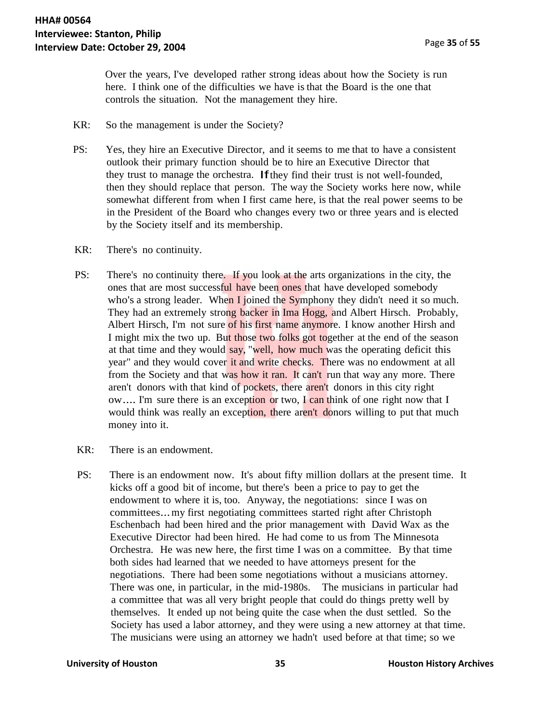Over the years, I've developed rather strong ideas about how the Society is run here. I think one of the difficulties we have is that the Board is the one that controls the situation. Not the management they hire.

- KR: So the management is under the Society?
- PS: Yes, they hire an Executive Director, and it seems to me that to have a consistent outlook their primary function should be to hire an Executive Director that they trust to manage the orchestra. Ifthey find their trust is not well-founded, then they should replace that person. The way the Society works here now, while somewhat different from when I first came here, is that the real power seems to be in the President of the Board who changes every two or three years and is elected by the Society itself and its membership.
- KR: There's no continuity.
- PS: There's no continuity there. If you look at the arts organizations in the city, the ones that are most successful have been ones that have developed somebody who's a strong leader. When  $\overline{I}$  joined the Symphony they didn't need it so much. They had an extremely strong backer in Ima Hogg, and Albert Hirsch. Probably, Albert Hirsch, I'm not sure of his first name anymore. I know another Hirsh and I might mix the two up. But those two folks got together at the end of the season at that time and they would say, "well, how much was the operating deficit this year" and they would cover it and write checks. There was no endowment at all from the Society and that was how it ran. It can't run that way any more. There aren't donors with that kind of pockets, there aren't donors in this city right ow.... I'm sure there is an exception or two, I can think of one right now that I would think was really an exception, there aren't donors willing to put that much money into it.
- KR: There is an endowment.
- PS: There is an endowment now. It's about fifty million dollars at the present time. It kicks off a good bit of income, but there's been a price to pay to get the endowment to where it is, too. Anyway, the negotiations: since I was on committees...my first negotiating committees started right after Christoph Eschenbach had been hired and the prior management with David Wax as the Executive Director had been hired. He had come to us from The Minnesota Orchestra. He was new here, the first time I was on a committee. By that time both sides had learned that we needed to have attorneys present for the negotiations. There had been some negotiations without a musicians attorney. There was one, in particular, in the mid-1980s. The musicians in particular had a committee that was all very bright people that could do things pretty well by themselves. It ended up not being quite the case when the dust settled. So the Society has used a labor attorney, and they were using a new attorney at that time. The musicians were using an attorney we hadn't used before at that time; so we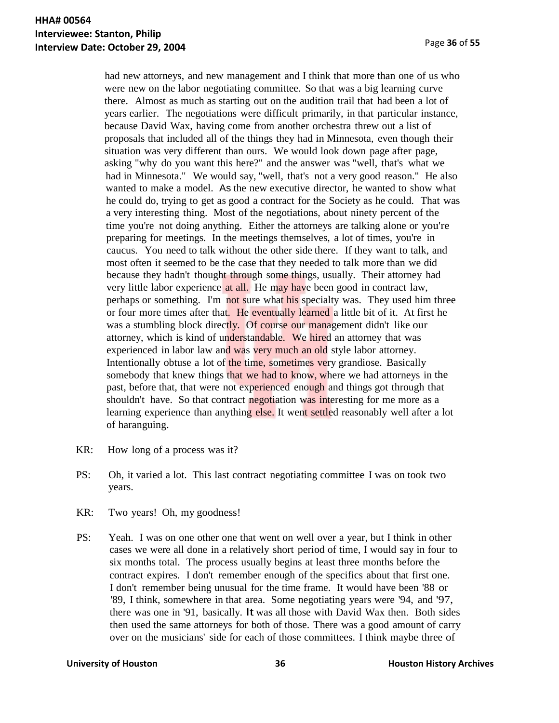had new attorneys, and new management and I think that more than one of us who were new on the labor negotiating committee. So that was a big learning curve there. Almost as much as starting out on the audition trail that had been a lot of years earlier. The negotiations were difficult primarily, in that particular instance, because David Wax, having come from another orchestra threw out a list of proposals that included all of the things they had in Minnesota, even though their situation was very different than ours. We would look down page after page, asking "why do you want this here?" and the answer was "well, that's what we had in Minnesota." We would say, ''well, that's not a very good reason." He also wanted to make a model. As the new executive director, he wanted to show what he could do, trying to get as good a contract for the Society as he could. That was a very interesting thing. Most of the negotiations, about ninety percent of the time you're not doing anything. Either the attorneys are talking alone or you're preparing for meetings. In the meetings themselves, a lot of times, you're in caucus. You need to talk without the other side there. If they want to talk, and most often it seemed to be the case that they needed to talk more than we did because they hadn't thought through some things, usually. Their attorney had very little labor experience at all. He may have been good in contract law, perhaps or something. I'm not sure what his specialty was. They used him three or four more times after that. He eventually learned a little bit of it. At first he was a stumbling block directly. Of course our management didn't like our attorney, which is kind of understandable. We hired an attorney that was experienced in labor law and was very much an old style labor attorney. Intentionally obtuse a lot of the time, sometimes very grandiose. Basically somebody that knew things that we had to know, where we had attorneys in the past, before that, that were not experienced enough and things got through that shouldn't have. So that contract negotiation was interesting for me more as a learning experience than anything else. It went settled reasonably well after a lot of haranguing.

- KR: How long of a process was it?
- PS: Oh, it varied a lot. This last contract negotiating committee I was on took two years.
- KR: Two years! Oh, my goodness!
- PS: Yeah. I was on one other one that went on well over a year, but I think in other cases we were all done in a relatively short period of time, I would say in four to six months total. The process usually begins at least three months before the contract expires. I don't remember enough of the specifics about that first one. I don't remember being unusual for the time frame. It would have been '88 or '89, I think, somewhere in that area. Some negotiating years were '94, and '97, there was one in '91, basically. It was all those with David Wax then. Both sides then used the same attorneys for both of those. There was a good amount of carry over on the musicians' side for each of those committees. I think maybe three of

### **University of Houston 1988 1989 1989 1989 1989 1989 1989 1999 1999 1999 1999 1999 1999 1999 1999 1999 1999 1999 1999 1999 1999 1999 1999 1999 1999 1999 1999 1999 1**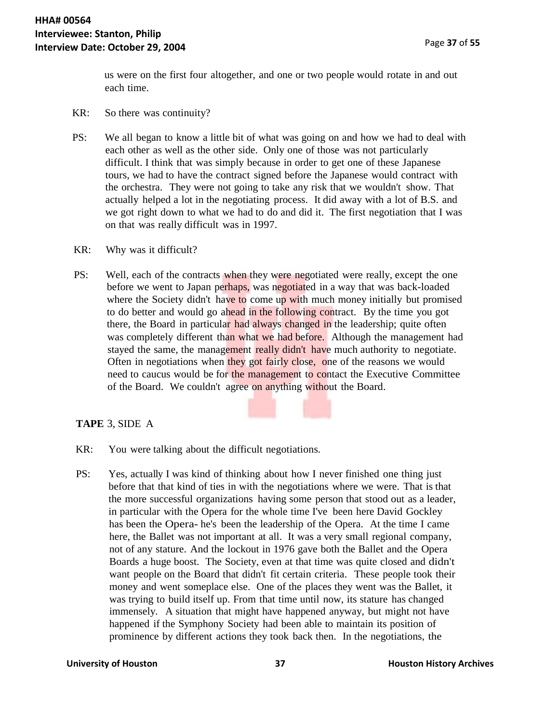us were on the first four altogether, and one or two people would rotate in and out each time.

- KR: So there was continuity?
- PS: We all began to know a little bit of what was going on and how we had to deal with each other as well as the other side. Only one of those was not particularly difficult. I think that was simply because in order to get one of these Japanese tours, we had to have the contract signed before the Japanese would contract with the orchestra. They were not going to take any risk that we wouldn't show. That actually helped a lot in the negotiating process. It did away with a lot of B.S. and we got right down to what we had to do and did it. The first negotiation that I was on that was really difficult was in 1997.
- KR: Why was it difficult?
- PS: Well, each of the contracts when they were negotiated were really, except the one before we went to Japan perhaps, was negotiated in a way that was back-loaded where the Society didn't have to come up with much money initially but promised to do better and would go ahead in the following contract. By the time you got there, the Board in particular had always changed in the leadership; quite often was completely different than what we had before. Although the management had stayed the same, the management really didn't have much authority to negotiate. Often in negotiations when they got fairly close, one of the reasons we would need to caucus would be for the management to contact the Executive Committee of the Board. We couldn't agree on anything without the Board.

### **TAPE** 3, SIDE A

- KR: You were talking about the difficult negotiations.
- PS: Yes, actually I was kind of thinking about how I never finished one thing just before that that kind of ties in with the negotiations where we were. That is that the more successful organizations having some person that stood out as a leader, in particular with the Opera for the whole time I've been here David Gockley has been the Opera- he's been the leadership of the Opera. At the time I came here, the Ballet was not important at all. It was a very small regional company, not of any stature. And the lockout in 1976 gave both the Ballet and the Opera Boards a huge boost. The Society, even at that time was quite closed and didn't want people on the Board that didn't fit certain criteria. These people took their money and went someplace else. One of the places they went was the Ballet, it was trying to build itself up. From that time until now, its stature has changed immensely. A situation that might have happened anyway, but might not have happened if the Symphony Society had been able to maintain its position of prominence by different actions they took back then. In the negotiations, the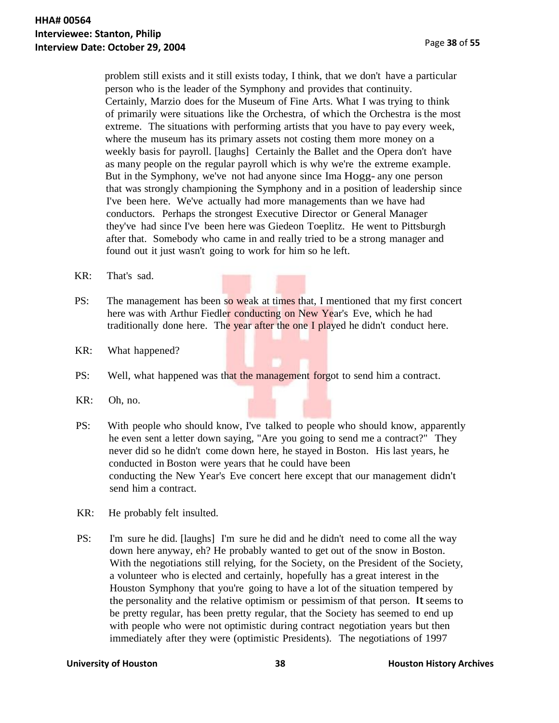problem still exists and it still exists today, I think, that we don't have a particular person who is the leader of the Symphony and provides that continuity. Certainly, Marzio does for the Museum of Fine Arts. What I was trying to think of primarily were situations like the Orchestra, of which the Orchestra is the most extreme. The situations with performing artists that you have to pay every week, where the museum has its primary assets not costing them more money on a weekly basis for payroll. [laughs] Certainly the Ballet and the Opera don't have as many people on the regular payroll which is why we're the extreme example. But in the Symphony, we've not had anyone since Ima Hogg- any one person that was strongly championing the Symphony and in a position of leadership since I've been here. We've actually had more managements than we have had conductors. Perhaps the strongest Executive Director or General Manager they've had since I've been here was Giedeon Toeplitz. He went to Pittsburgh after that. Somebody who came in and really tried to be a strong manager and found out it just wasn't going to work for him so he left.

- KR: That's sad.
- PS: The management has been so weak at times that, I mentioned that my first concert here was with Arthur Fiedler conducting on New Year's Eve, which he had traditionally done here. The year after the one I played he didn't conduct here.
- KR: What happened?
- PS: Well, what happened was that the management forgot to send him a contract.
- KR: Oh, no.
- PS: With people who should know, I've talked to people who should know, apparently he even sent a letter down saying, "Are you going to send me a contract?" They never did so he didn't come down here, he stayed in Boston. His last years, he conducted in Boston were years that he could have been conducting the New Year's Eve concert here except that our management didn't send him a contract.
- KR: He probably felt insulted.
- PS: I'm sure he did. [laughs] I'm sure he did and he didn't need to come all the way down here anyway, eh? He probably wanted to get out of the snow in Boston. With the negotiations still relying, for the Society, on the President of the Society, a volunteer who is elected and certainly, hopefully has a great interest in the Houston Symphony that you're going to have a lot of the situation tempered by the personality and the relative optimism or pessimism of that person. It seems to be pretty regular, has been pretty regular, that the Society has seemed to end up with people who were not optimistic during contract negotiation years but then immediately after they were (optimistic Presidents). The negotiations of 1997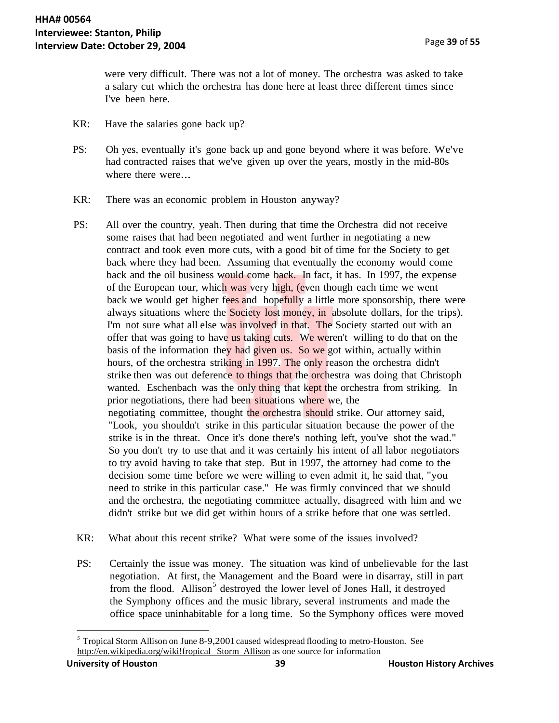were very difficult. There was not a lot of money. The orchestra was asked to take a salary cut which the orchestra has done here at least three different times since I've been here.

- KR: Have the salaries gone back up?
- PS: Oh yes, eventually it's gone back up and gone beyond where it was before. We've had contracted raises that we've given up over the years, mostly in the mid-80s where there were...
- KR: There was an economic problem in Houston anyway?
- PS: All over the country, yeah. Then during that time the Orchestra did not receive some raises that had been negotiated and went further in negotiating a new contract and took even more cuts, with a good bit of time for the Society to get back where they had been. Assuming that eventually the economy would come back and the oil business would come back. In fact, it has. In 1997, the expense of the European tour, which was very high, (even though each time we went back we would get higher fees and hopefully a little more sponsorship, there were always situations where the Society lost money, in absolute dollars, for the trips). I'm not sure what all else was involved in that. The Society started out with an offer that was going to have us taking cuts. We weren't willing to do that on the basis of the information they had given us. So we got within, actually within hours, of the orchestra striking in 1997. The only reason the orchestra didn't strike then was out deference to things that the orchestra was doing that Christoph wanted. Eschenbach was the only thing that kept the orchestra from striking. In prior negotiations, there had been situations where we, the negotiating committee, thought the orchestra should strike. Our attorney said, "Look, you shouldn't strike in this particular situation because the power of the strike is in the threat. Once it's done there's nothing left, you've shot the wad." So you don't try to use that and it was certainly his intent of all labor negotiators to try avoid having to take that step. But in 1997, the attorney had come to the decision some time before we were willing to even admit it, he said that, "you need to strike in this particular case." He was firmly convinced that we should and the orchestra, the negotiating committee actually, disagreed with him and we didn't strike but we did get within hours of a strike before that one was settled.
- KR: What about this recent strike? What were some of the issues involved?
- PS: Certainly the issue was money. The situation was kind of unbelievable for the last negotiation. At first, the Management and the Board were in disarray, still in part from the flood. Allison<sup>5</sup> destroyed the lower level of Jones Hall, it destroyed the Symphony offices and the music library, several instruments and made the office space uninhabitable for a long time. So the Symphony offices were moved

 $<sup>5</sup>$  Tropical Storm Allison on June 8-9,2001 caused widespread flooding to metro-Houston. See</sup> <http://en.wikipedia.org/wiki!fropical> Storm Allison as one source for information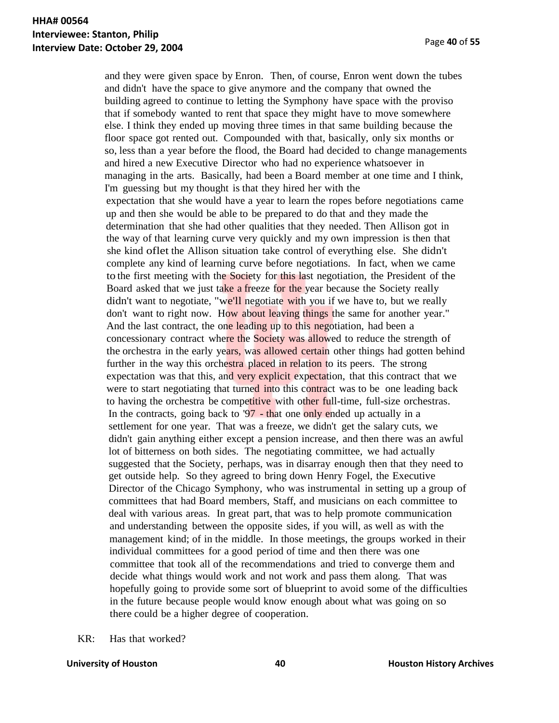and they were given space by Enron. Then, of course, Enron went down the tubes and didn't have the space to give anymore and the company that owned the building agreed to continue to letting the Symphony have space with the proviso that if somebody wanted to rent that space they might have to move somewhere else. I think they ended up moving three times in that same building because the floor space got rented out. Compounded with that, basically, only six months or so, less than a year before the flood, the Board had decided to change managements and hired a new Executive Director who had no experience whatsoever in managing in the arts. Basically, had been a Board member at one time and I think, I'm guessing but my thought is that they hired her with the expectation that she would have a year to learn the ropes before negotiations came up and then she would be able to be prepared to do that and they made the determination that she had other qualities that they needed. Then Allison got in the way of that learning curve very quickly and my own impression is then that she kind oflet the Allison situation take control of everything else. She didn't complete any kind of learning curve before negotiations. In fact, when we came to the first meeting with the Society for this last negotiation, the President of the Board asked that we just take a freeze for the year because the Society really didn't want to negotiate, "we'll negotiate with you if we have to, but we really don't want to right now. How about leaving things the same for another year." And the last contract, the one leading up to this negotiation, had been a concessionary contract where the Society was allowed to reduce the strength of the orchestra in the early years, was allowed certain other things had gotten behind further in the way this orchestra placed in relation to its peers. The strong expectation was that this, and very explicit expectation, that this contract that we were to start negotiating that turned into this contract was to be one leading back to having the orchestra be competitive with other full-time, full-size orchestras. In the contracts, going back to '97 - that one only ended up actually in a settlement for one year. That was a freeze, we didn't get the salary cuts, we didn't gain anything either except a pension increase, and then there was an awful lot of bitterness on both sides. The negotiating committee, we had actually suggested that the Society, perhaps, was in disarray enough then that they need to get outside help. So they agreed to bring down Henry Fogel, the Executive Director of the Chicago Symphony, who was instrumental in setting up a group of committees that had Board members, Staff, and musicians on each committee to deal with various areas. In great part, that was to help promote communication and understanding between the opposite sides, if you will, as well as with the management kind; of in the middle. In those meetings, the groups worked in their individual committees for a good period of time and then there was one committee that took all of the recommendations and tried to converge them and decide what things would work and not work and pass them along. That was hopefully going to provide some sort of blueprint to avoid some of the difficulties in the future because people would know enough about what was going on so there could be a higher degree of cooperation.

KR: Has that worked?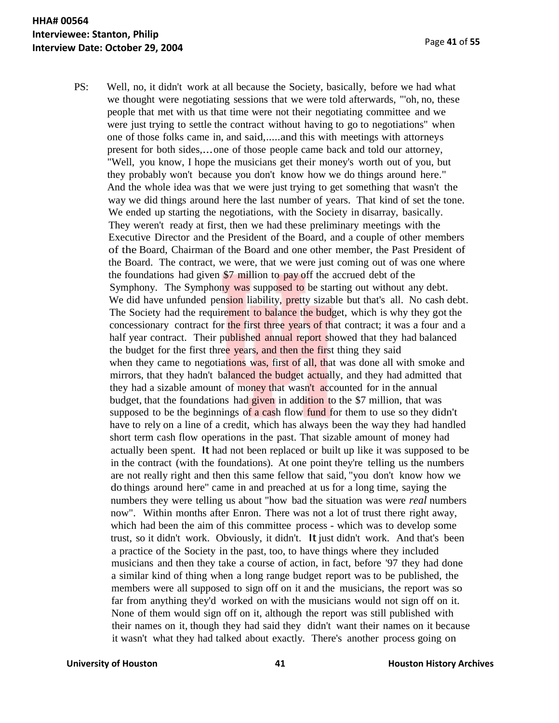PS: Well, no, it didn't work at all because the Society, basically, before we had what we thought were negotiating sessions that we were told afterwards, "'oh, no, these people that met with us that time were not their negotiating committee and we were just trying to settle the contract without having to go to negotiations" when one of those folks came in, and said,.....and this with meetings with attorneys present for both sides,...one of those people came back and told our attorney, "Well, you know, I hope the musicians get their money's worth out of you, but they probably won't because you don't know how we do things around here." And the whole idea was that we were just trying to get something that wasn't the way we did things around here the last number of years. That kind of set the tone. We ended up starting the negotiations, with the Society in disarray, basically. They weren't ready at first, then we had these preliminary meetings with the Executive Director and the President of the Board, and a couple of other members of the Board, Chairman of the Board and one other member, the Past President of the Board. The contract, we were, that we were just coming out of was one where the foundations had given \$7 million to pay off the accrued debt of the Symphony. The Symphony was supposed to be starting out without any debt. We did have unfunded pension liability, pretty sizable but that's all. No cash debt. The Society had the requirement to balance the budget, which is why they got the concessionary contract for the first three years of that contract; it was a four and a half year contract. Their published annual report showed that they had balanced the budget for the first three years, and then the first thing they said when they came to negotiations was, first of all, that was done all with smoke and mirrors, that they hadn't balanced the budget actually, and they had admitted that they had a sizable amount of money that wasn't accounted for in the annual budget, that the foundations had given in addition to the \$7 million, that was supposed to be the beginnings of a cash flow fund for them to use so they didn't have to rely on a line of a credit, which has always been the way they had handled short term cash flow operations in the past. That sizable amount of money had actually been spent. It had not been replaced or built up like it was supposed to be in the contract (with the foundations). At one point they're telling us the numbers are not really right and then this same fellow that said, "you don't know how we do things around here" came in and preached at us for a long time, saying the numbers they were telling us about "how bad the situation was were *real* numbers now". Within months after Enron. There was not a lot of trust there right away, which had been the aim of this committee process - which was to develop some trust, so it didn't work. Obviously, it didn't. It just didn't work. And that's been a practice of the Society in the past, too, to have things where they included musicians and then they take a course of action, in fact, before '97 they had done a similar kind of thing when a long range budget report was to be published, the members were all supposed to sign off on it and the musicians, the report was so far from anything they'd worked on with the musicians would not sign off on it. None of them would sign off on it, although the report was still published with their names on it, though they had said they didn't want their names on it because it wasn't what they had talked about exactly. There's another process going on

**University of Houston 1988 41 Houston History Archives**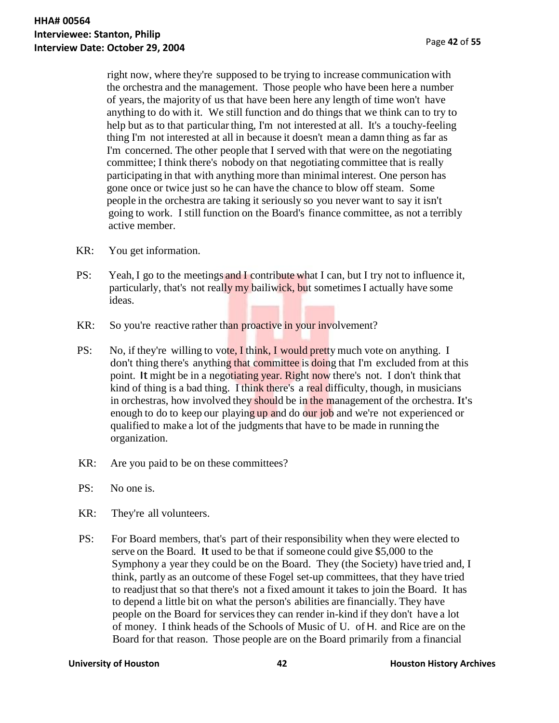right now, where they're supposed to be trying to increase communication with the orchestra and the management. Those people who have been here a number of years, the majority of us that have been here any length of time won't have anything to do with it. We still function and do things that we think can to try to help but as to that particular thing, I'm not interested at all. It's a touchy-feeling thing I'm not interested at all in because it doesn't mean a damn thing as far as I'm concerned. The other people that I served with that were on the negotiating committee; I think there's nobody on that negotiating committee that is really participating in that with anything more than minimal interest. One person has gone once or twice just so he can have the chance to blow off steam. Some people in the orchestra are taking it seriously so you never want to say it isn't going to work. I still function on the Board's finance committee, as not a terribly active member.

- KR: You get information.
- PS: Yeah, I go to the meetings and I contribute what I can, but I try not to influence it, particularly, that's not really my bailiwick, but sometimes I actually have some ideas.
- KR: So you're reactive rather than proactive in your involvement?
- PS: No, if they're willing to vote, I think, I would pretty much vote on anything. I don't thing there's anything that committee is doing that I'm excluded from at this point. It might be in a negotiating year. Right now there's not. I don't think that kind of thing is a bad thing. I think there's a real difficulty, though, in musicians in orchestras, how involved they should be in the management of the orchestra. It's enough to do to keep our playing up and do our job and we're not experienced or qualified to make a lot of the judgments that have to be made in running the organization.
- KR: Are you paid to be on these committees?
- PS: No one is.
- KR: They're all volunteers.
- PS: For Board members, that's part of their responsibility when they were elected to serve on the Board. It used to be that if someone could give \$5,000 to the Symphony a year they could be on the Board. They (the Society) have tried and, I think, partly as an outcome of these Fogel set-up committees, that they have tried to readjust that so that there's not a fixed amount it takes to join the Board. It has to depend a little bit on what the person's abilities are financially. They have people on the Board for servicesthey can render in-kind if they don't have a lot of money. I think heads of the Schools of Music of U. of H. and Rice are on the Board for that reason. Those people are on the Board primarily from a financial

**University of Houston 1988 42 Houston History Archives**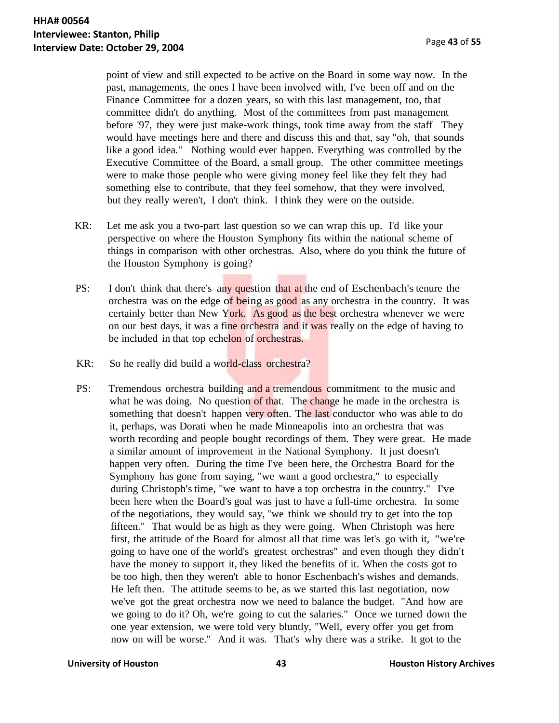point of view and still expected to be active on the Board in some way now. In the past, managements, the ones I have been involved with, I've been off and on the Finance Committee for a dozen years, so with this last management, too, that committee didn't do anything. Most of the committees from past management before '97, they were just make-work things, took time away from the staff They would have meetings here and there and discuss this and that, say "oh, that sounds like a good idea." Nothing would ever happen. Everything was controlled by the Executive Committee of the Board, a small group. The other committee meetings were to make those people who were giving money feel like they felt they had something else to contribute, that they feel somehow, that they were involved, but they really weren't, I don't think. I think they were on the outside.

- KR: Let me ask you a two-part last question so we can wrap this up. I'd like your perspective on where the Houston Symphony fits within the national scheme of things in comparison with other orchestras. Also, where do you think the future of the Houston Symphony is going?
- PS: I don't think that there's any question that at the end of Eschenbach's tenure the orchestra was on the edge of being as good as any orchestra in the country. It was certainly better than New York. As good as the best orchestra whenever we were on our best days, it was a fine orchestra and it was really on the edge of having to be included in that top echelon of orchestras.
- KR: So he really did build a world-class orchestra?
- PS: Tremendous orchestra building and a tremendous commitment to the music and what he was doing. No question of that. The change he made in the orchestra is something that doesn't happen very often. The last conductor who was able to do it, perhaps, was Dorati when he made Minneapolis into an orchestra that was worth recording and people bought recordings of them. They were great. He made a similar amount of improvement in the National Symphony. It just doesn't happen very often. During the time I've been here, the Orchestra Board for the Symphony has gone from saying, "we want a good orchestra," to especially during Christoph'stime, "we want to have a top orchestra in the country." I've been here when the Board's goal was just to have a full-time orchestra. In some of the negotiations, they would say, "we think we should try to get into the top fifteen." That would be as high as they were going. When Christoph was here first, the attitude of the Board for almost all that time was let's go with it, "we're going to have one of the world's greatest orchestras" and even though they didn't have the money to support it, they liked the benefits of it. When the costs got to be too high, then they weren't able to honor Eschenbach's wishes and demands. He left then. The attitude seems to be, as we started this last negotiation, now we've got the great orchestra now we need to balance the budget. "And how are we going to do it? Oh, we're going to cut the salaries." Once we turned down the one year extension, we were told very bluntly, "Well, every offer you get from now on will be worse." And it was. That's why there was a strike. It got to the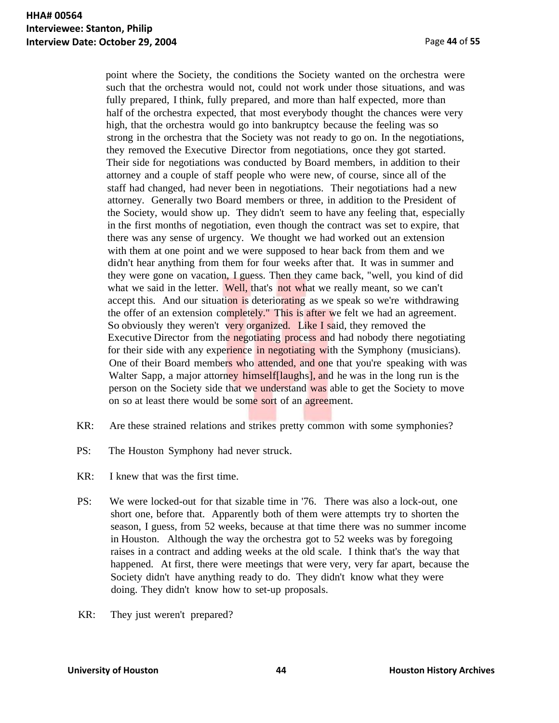point where the Society, the conditions the Society wanted on the orchestra were such that the orchestra would not, could not work under those situations, and was fully prepared, I think, fully prepared, and more than half expected, more than half of the orchestra expected, that most everybody thought the chances were very high, that the orchestra would go into bankruptcy because the feeling was so strong in the orchestra that the Society was not ready to go on. In the negotiations, they removed the Executive Director from negotiations, once they got started. Their side for negotiations was conducted by Board members, in addition to their attorney and a couple of staff people who were new, of course, since all of the staff had changed, had never been in negotiations. Their negotiations had a new attorney. Generally two Board members or three, in addition to the President of the Society, would show up. They didn't seem to have any feeling that, especially in the first months of negotiation, even though the contract was set to expire, that there was any sense of urgency. We thought we had worked out an extension with them at one point and we were supposed to hear back from them and we didn't hear anything from them for four weeks after that. It was in summer and they were gone on vacation, I guess. Then they came back, "well, you kind of did what we said in the letter. Well, that's not what we really meant, so we can't accept this. And our situation is deteriorating as we speak so we're withdrawing the offer of an extension completely." This is after we felt we had an agreement. So obviously they weren't very organized. Like I said, they removed the Executive Director from the negotiating process and had nobody there negotiating for their side with any experience in negotiating with the Symphony (musicians). One of their Board members who attended, and one that you're speaking with was Walter Sapp, a major attorney himself[laughs], and he was in the long run is the person on the Society side that we understand was able to get the Society to move on so at least there would be some sort of an agreement.

- KR: Are these strained relations and strikes pretty common with some symphonies?
- PS: The Houston Symphony had never struck.
- KR: I knew that was the first time.
- PS: We were locked-out for that sizable time in '76. There was also a lock-out, one short one, before that. Apparently both of them were attempts try to shorten the season, I guess, from 52 weeks, because at that time there was no summer income in Houston. Although the way the orchestra got to 52 weeks was by foregoing raises in a contract and adding weeks at the old scale. I think that's the way that happened. At first, there were meetings that were very, very far apart, because the Society didn't have anything ready to do. They didn't know what they were doing. They didn't know how to set-up proposals.
- KR: They just weren't prepared?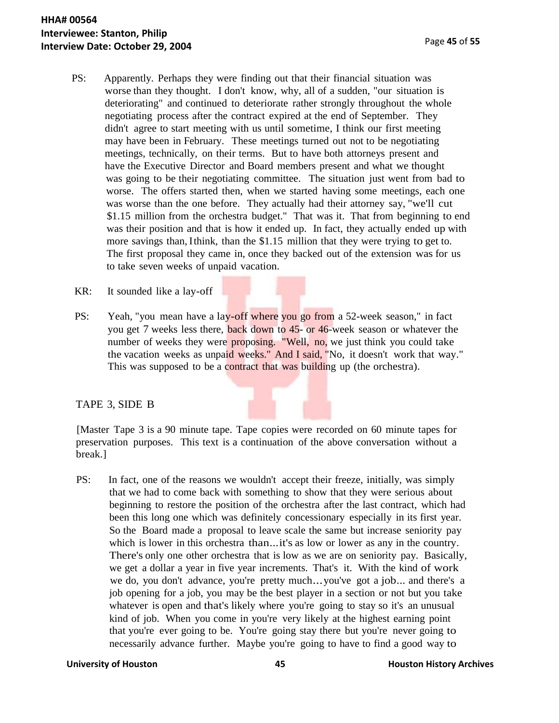- PS: Apparently. Perhaps they were finding out that their financial situation was worse than they thought. I don't know, why, all of a sudden, "our situation is deteriorating" and continued to deteriorate rather strongly throughout the whole negotiating process after the contract expired at the end of September. They didn't agree to start meeting with us until sometime, I think our first meeting may have been in February. These meetings turned out not to be negotiating meetings, technically, on their terms. But to have both attorneys present and have the Executive Director and Board members present and what we thought was going to be their negotiating committee. The situation just went from bad to worse. The offers started then, when we started having some meetings, each one was worse than the one before. They actually had their attorney say, "we'll cut \$1.15 million from the orchestra budget." That was it. That from beginning to end was their position and that is how it ended up. In fact, they actually ended up with more savings than, I think, than the \$1.15 million that they were trying to get to. The first proposal they came in, once they backed out of the extension was for us to take seven weeks of unpaid vacation.
- KR: It sounded like a lay-off
- PS: Yeah, "you mean have a lay-off where you go from a 52-week season," in fact you get 7 weeks less there, back down to 45- or 46-week season or whatever the number of weeks they were proposing. "Well, no, we just think you could take the vacation weeks as unpaid weeks." And I said, "No, it doesn't work that way." This was supposed to be a contract that was building up (the orchestra).

### TAPE 3, SIDE B

[Master Tape 3 is a 90 minute tape. Tape copies were recorded on 60 minute tapes for preservation purposes. This text is a continuation of the above conversation without a break.]

PS: In fact, one of the reasons we wouldn't accept their freeze, initially, was simply that we had to come back with something to show that they were serious about beginning to restore the position of the orchestra after the last contract, which had been this long one which was definitely concessionary especially in its first year. So the Board made a proposal to leave scale the same but increase seniority pay which is lower in this orchestra than...it's as low or lower as any in the country. There's only one other orchestra that is low as we are on seniority pay. Basically, we get a dollar a year in five year increments. That's it. With the kind of work we do, you don't advance, you're pretty much...you've got a job... and there's a job opening for a job, you may be the best player in a section or not but you take whatever is open and that's likely where you're going to stay so it's an unusual kind of job. When you come in you're very likely at the highest earning point that you're ever going to be. You're going stay there but you're never going to necessarily advance further. Maybe you're going to have to find a good way to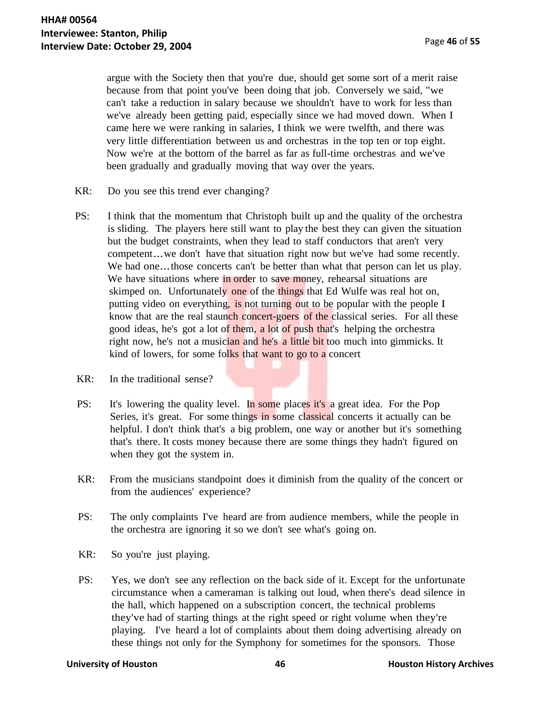argue with the Society then that you're due, should get some sort of a merit raise because from that point you've been doing that job. Conversely we said, "we can't take a reduction in salary because we shouldn't have to work for less than we've already been getting paid, especially since we had moved down. When I came here we were ranking in salaries, I think we were twelfth, and there was very little differentiation between us and orchestras in the top ten or top eight. Now we're at the bottom of the barrel as far as full-time orchestras and we've been gradually and gradually moving that way over the years.

- KR: Do you see this trend ever changing?
- PS: I think that the momentum that Christoph built up and the quality of the orchestra is sliding. The players here still want to play the best they can given the situation but the budget constraints, when they lead to staff conductors that aren't very competent...we don't have that situation right now but we've had some recently. We had one...those concerts can't be better than what that person can let us play. We have situations where in order to save money, rehearsal situations are skimped on. Unfortunately one of the things that Ed Wulfe was real hot on, putting video on everything, is not turning out to be popular with the people I know that are the real staunch concert-goers of the classical series. For all these good ideas, he's got a lot of them, a lot of push that's helping the orchestra right now, he's not a musician and he's a little bit too much into gimmicks. It kind of lowers, for some folks that want to go to a concert
- KR: In the traditional sense?
- PS: It's lowering the quality level. In some places it's a great idea. For the Pop Series, it's great. For some things in some classical concerts it actually can be helpful. I don't think that's a big problem, one way or another but it's something that's there. It costs money because there are some things they hadn't figured on when they got the system in.
- KR: From the musicians standpoint does it diminish from the quality of the concert or from the audiences' experience?
- PS: The only complaints I've heard are from audience members, while the people in the orchestra are ignoring it so we don't see what's going on.
- KR: So you're just playing.
- PS: Yes, we don't see any reflection on the back side of it. Except for the unfortunate circumstance when a cameraman is talking out loud, when there's dead silence in the hall, which happened on a subscription concert, the technical problems they've had of starting things at the right speed or right volume when they're playing. I've heard a lot of complaints about them doing advertising already on these things not only for the Symphony for sometimes for the sponsors. Those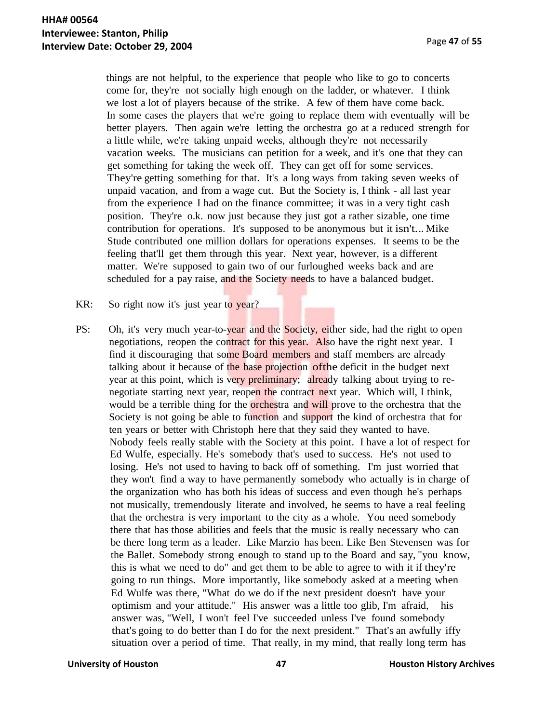things are not helpful, to the experience that people who like to go to concerts come for, they're not socially high enough on the ladder, or whatever. I think we lost a lot of players because of the strike. A few of them have come back. In some cases the players that we're going to replace them with eventually will be better players. Then again we're letting the orchestra go at a reduced strength for a little while, we're taking unpaid weeks, although they're not necessarily vacation weeks. The musicians can petition for a week, and it's one that they can get something for taking the week off. They can get off for some services. They're getting something for that. It's a long ways from taking seven weeks of unpaid vacation, and from a wage cut. But the Society is, I think - all last year from the experience I had on the finance committee; it was in a very tight cash position. They're o.k. now just because they just got a rather sizable, one time contribution for operations. It's supposed to be anonymous but it isn't... Mike Stude contributed one million dollars for operations expenses. It seems to be the feeling that'll get them through this year. Next year, however, is a different matter. We're supposed to gain two of our furloughed weeks back and are scheduled for a pay raise, and the Society needs to have a balanced budget.

KR: So right now it's just year to year?

PS: Oh, it's very much year-to-year and the Society, either side, had the right to open negotiations, reopen the contract for this year. Also have the right next year. I find it discouraging that some Board members and staff members are already talking about it because of the base projection ofthe deficit in the budget next year at this point, which is very preliminary; already talking about trying to renegotiate starting next year, reopen the contract next year. Which will, I think, would be a terrible thing for the **orchestra** and will prove to the orchestra that the Society is not going be able to function and support the kind of orchestra that for ten years or better with Christoph here that they said they wanted to have. Nobody feels really stable with the Society at this point. I have a lot of respect for Ed Wulfe, especially. He's somebody that's used to success. He's not used to losing. He's not used to having to back off of something. I'm just worried that they won't find a way to have permanently somebody who actually is in charge of the organization who has both his ideas of success and even though he's perhaps not musically, tremendously literate and involved, he seems to have a real feeling that the orchestra is very important to the city as a whole. You need somebody there that has those abilities and feels that the music is really necessary who can be there long term as a leader. Like Marzio has been. Like Ben Stevensen was for the Ballet. Somebody strong enough to stand up to the Board and say, "you know, this is what we need to do" and get them to be able to agree to with it if they're going to run things. More importantly, like somebody asked at a meeting when Ed Wulfe was there, "What do we do if the next president doesn't have your optimism and your attitude." His answer was a little too glib, I'm afraid, his answer was, "Well, I won't feel I've succeeded unless I've found somebody that's going to do better than I do for the next president." That's an awfully iffy situation over a period of time. That really, in my mind, that really long term has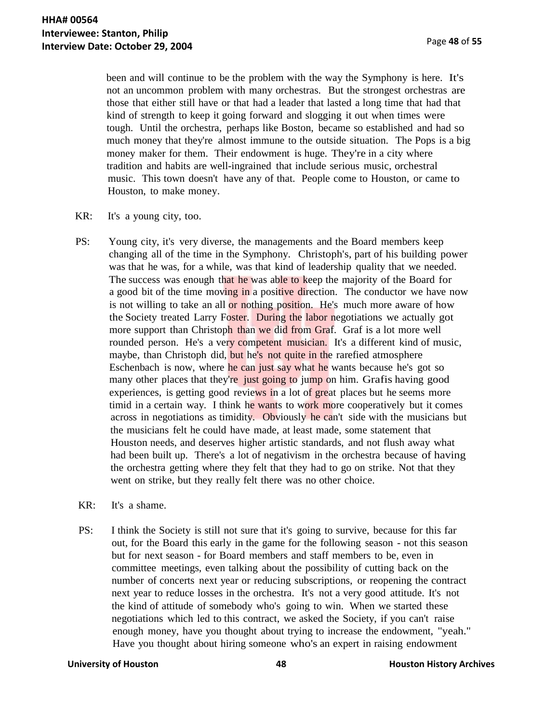been and will continue to be the problem with the way the Symphony is here. It's not an uncommon problem with many orchestras. But the strongest orchestras are those that either still have or that had a leader that lasted a long time that had that kind of strength to keep it going forward and slogging it out when times were tough. Until the orchestra, perhaps like Boston, became so established and had so much money that they're almost immune to the outside situation. The Pops is a big money maker for them. Their endowment is huge. They're in a city where tradition and habits are well-ingrained that include serious music, orchestral music. This town doesn't have any of that. People come to Houston, or came to Houston, to make money.

- KR: It's a young city, too.
- PS: Young city, it's very diverse, the managements and the Board members keep changing all of the time in the Symphony. Christoph's, part of his building power was that he was, for a while, was that kind of leadership quality that we needed. The success was enough that he was able to keep the majority of the Board for a good bit of the time moving in a positive direction. The conductor we have now is not willing to take an all or nothing position. He's much more aware of how the Society treated Larry Foster. During the labor negotiations we actually got more support than Christoph than we did from Graf. Graf is a lot more well rounded person. He's a very competent musician. It's a different kind of music, maybe, than Christoph did, but he's not quite in the rarefied atmosphere Eschenbach is now, where he can just say what he wants because he's got so many other places that they're just going to jump on him. Grafis having good experiences, is getting good reviews in a lot of great places but he seems more timid in a certain way. I think he wants to work more cooperatively but it comes across in negotiations as timidity. Obviously he can't side with the musicians but the musicians felt he could have made, at least made, some statement that Houston needs, and deserves higher artistic standards, and not flush away what had been built up. There's a lot of negativism in the orchestra because of having the orchestra getting where they felt that they had to go on strike. Not that they went on strike, but they really felt there was no other choice.
- KR: It's a shame.
- PS: I think the Society is still not sure that it's going to survive, because for this far out, for the Board this early in the game for the following season - not this season but for next season - for Board members and staff members to be, even in committee meetings, even talking about the possibility of cutting back on the number of concerts next year or reducing subscriptions, or reopening the contract next year to reduce losses in the orchestra. It's not a very good attitude. It's not the kind of attitude of somebody who's going to win. When we started these negotiations which led to this contract, we asked the Society, if you can't raise enough money, have you thought about trying to increase the endowment, "yeah." Have you thought about hiring someone who's an expert in raising endowment

**University of Houston 1988 <b>48 Houston History Archives Houston History Archives**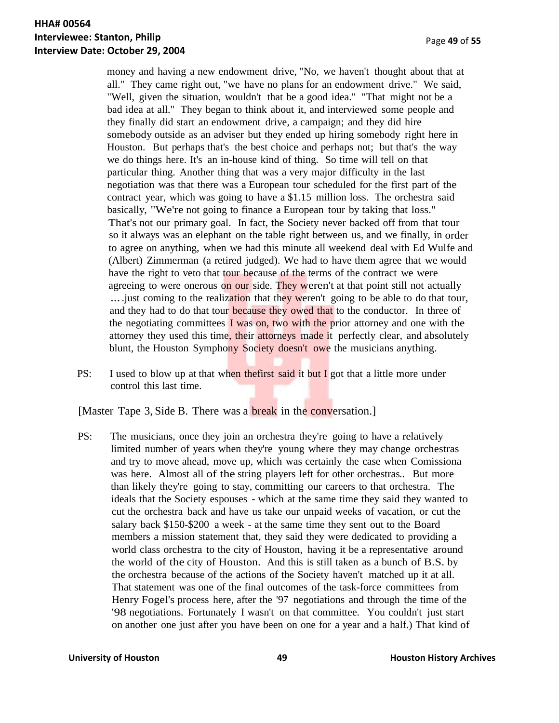money and having a new endowment drive, "No, we haven't thought about that at all." They came right out, "we have no plans for an endowment drive." We said, "Well, given the situation, wouldn't that be a good idea." "That might not be a bad idea at all." They began to think about it, and interviewed some people and they finally did start an endowment drive, a campaign; and they did hire somebody outside as an adviser but they ended up hiring somebody right here in Houston. But perhaps that's the best choice and perhaps not; but that's the way we do things here. It's an in-house kind of thing. So time will tell on that particular thing. Another thing that was a very major difficulty in the last negotiation was that there was a European tour scheduled for the first part of the contract year, which was going to have a \$1.15 million loss. The orchestra said basically, "We're not going to finance a European tour by taking that loss." That's not our primary goal. In fact, the Society never backed off from that tour so it always was an elephant on the table right between us, and we finally, in order to agree on anything, when we had this minute all weekend deal with Ed Wulfe and (Albert) Zimmerman (a retired judged). We had to have them agree that we would have the right to veto that tour because of the terms of the contract we were agreeing to were onerous on our side. They weren't at that point still not actually .... just coming to the realization that they weren't going to be able to do that tour, and they had to do that tour **because** they owed that to the conductor. In three of the negotiating committees  $\overline{I}$  was on, two with the prior attorney and one with the attorney they used this time, their attorneys made it perfectly clear, and absolutely blunt, the Houston Symphony Society doesn't owe the musicians anything.

PS: I used to blow up at that when thefirst said it but I got that a little more under control this last time.

[Master Tape 3, Side B. There was a **break** in the conversation.]

PS: The musicians, once they join an orchestra they're going to have a relatively limited number of years when they're young where they may change orchestras and try to move ahead, move up, which was certainly the case when Comissiona was here. Almost all of the string players left for other orchestras.. But more than likely they're going to stay, committing our careers to that orchestra. The ideals that the Society espouses - which at the same time they said they wanted to cut the orchestra back and have us take our unpaid weeks of vacation, or cut the salary back \$150-\$200 a week - at the same time they sent out to the Board members a mission statement that, they said they were dedicated to providing a world class orchestra to the city of Houston, having it be a representative around the world of the city of Houston. And this is still taken as a bunch of B.S. by the orchestra because of the actions of the Society haven't matched up it at all. That statement was one of the final outcomes of the task-force committees from Henry Fogel's process here, after the '97 negotiations and through the time of the '98 negotiations. Fortunately I wasn't on that committee. You couldn't just start on another one just after you have been on one for a year and a half.) That kind of